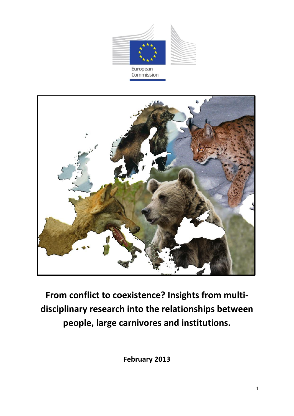



**From conflict to coexistence? Insights from multidisciplinary research into the relationships between people, large carnivores and institutions.**

**February 2013**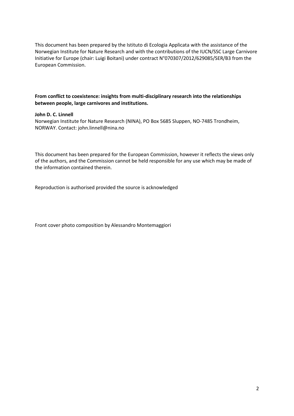This document has been prepared by the Istituto di Ecologia Applicata with the assistance of the Norwegian Institute for Nature Research and with the contributions of the IUCN/SSC Large Carnivore Initiative for Europe (chair: Luigi Boitani) under contract N°070307/2012/629085/SER/B3 from the European Commission.

#### **From conflict to coexistence: insights from multi-disciplinary research into the relationships between people, large carnivores and institutions.**

#### **John D. C. Linnell**

Norwegian Institute for Nature Research (NINA), PO Box 5685 Sluppen, NO-7485 Trondheim, NORWAY. Contact: john.linnell@nina.no

This document has been prepared for the European Commission, however it reflects the views only of the authors, and the Commission cannot be held responsible for any use which may be made of the information contained therein.

Reproduction is authorised provided the source is acknowledged

Front cover photo composition by Alessandro Montemaggiori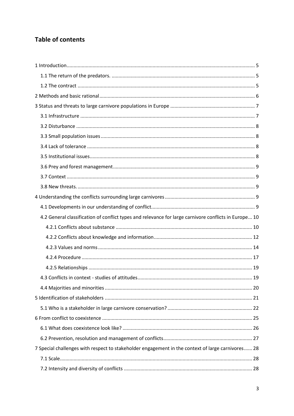# **Table of contents**

| 4.2 General classification of conflict types and relevance for large carnivore conflicts in Europe 10 |  |
|-------------------------------------------------------------------------------------------------------|--|
|                                                                                                       |  |
|                                                                                                       |  |
|                                                                                                       |  |
|                                                                                                       |  |
|                                                                                                       |  |
|                                                                                                       |  |
|                                                                                                       |  |
|                                                                                                       |  |
|                                                                                                       |  |
|                                                                                                       |  |
|                                                                                                       |  |
|                                                                                                       |  |
| 7 Special challenges with respect to stakeholder engagement in the context of large carnivores 28     |  |
|                                                                                                       |  |
|                                                                                                       |  |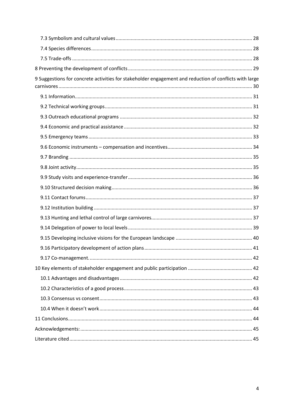| 9 Suggestions for concrete activities for stakeholder engagement and reduction of conflicts with large |
|--------------------------------------------------------------------------------------------------------|
|                                                                                                        |
|                                                                                                        |
|                                                                                                        |
|                                                                                                        |
|                                                                                                        |
|                                                                                                        |
|                                                                                                        |
|                                                                                                        |
|                                                                                                        |
|                                                                                                        |
|                                                                                                        |
|                                                                                                        |
|                                                                                                        |
|                                                                                                        |
|                                                                                                        |
|                                                                                                        |
|                                                                                                        |
|                                                                                                        |
|                                                                                                        |
|                                                                                                        |
|                                                                                                        |
|                                                                                                        |
|                                                                                                        |
|                                                                                                        |
|                                                                                                        |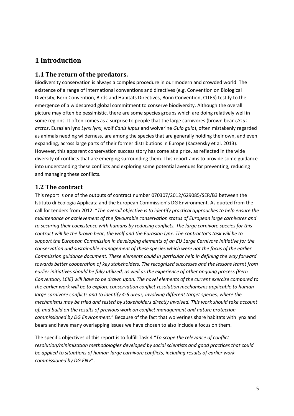# <span id="page-4-0"></span>**1 Introduction**

### <span id="page-4-1"></span>**1.1 The return of the predators.**

Biodiversity conservation is always a complex procedure in our modern and crowded world. The existence of a range of international conventions and directives (e.g. Convention on Biological Diversity, Bern Convention, Birds and Habitats Directives, Bonn Convention, CITES) testify to the emergence of a widespread global commitment to conserve biodiversity. Although the overall picture may often be pessimistic, there are some species groups which are doing relatively well in some regions. It often comes as a surprise to people that the large carnivores (brown bear *Ursus arctos*, Eurasian lynx *Lynx lynx*, wolf *Canis lupus* and wolverine *Gulo gulo*), often mistakenly regarded as animals needing wilderness, are among the species that are generally holding their own, and even expanding, across large parts of their former distributions in Europe (Kaczensky et al. 2013). However, this apparent conservation success story has come at a price, as reflected in the wide diversity of conflicts that are emerging surrounding them. This report aims to provide some guidance into understanding these conflicts and exploring some potential avenues for preventing, reducing and managing these conflicts.

## <span id="page-4-2"></span>**1.2 The contract**

This report is one of the outputs of contract number 070307/2012/629085/SER/B3 between the Istituto di Ecologia Applicata and the European Commission's DG Environment. As quoted from the call for tenders from 2012: "*The overall objective is to identify practical approaches to help ensure the maintenance or achievement of the favourable conservation status of European large carnivores and to securing their coexistence with humans by reducing conflicts. The large carnivore species for this contract will be the brown bear, the wolf and the Eurasian lynx. The contractor's task will be to support the European Commission in developing elements of an EU Large Carnivore Initiative for the conservation and sustainable management of these species which were not the focus of the earlier Commission guidance document. These elements could in particular help in defining the way forward towards better cooperation of key stakeholders. The recognized successes and the lessons learnt from earlier initiatives should be fully utilized, as well as the experience of other ongoing process (Bern Convention, LCIE) will have to be drawn upon. The novel elements of the current exercise compared to the earlier work will be to explore conservation conflict-resolution mechanisms applicable to humanlarge carnivore conflicts and to identify 4-6 areas, involving different target species, where the mechanisms may be tried and tested by stakeholders directly involved. This work should take account of, and build on the results of previous work on conflict management and nature protection commissioned by DG Environment*." Because of the fact that wolverines share habitats with lynx and bears and have many overlapping issues we have chosen to also include a focus on them.

The specific objectives of this report is to fulfill Task 4 "*To scope the relevance of conflict resolution/minimization methodologies developed by social scientists and good practices that could be applied to situations of human-large carnivore conflicts, including results of earlier work commissioned by DG ENV*".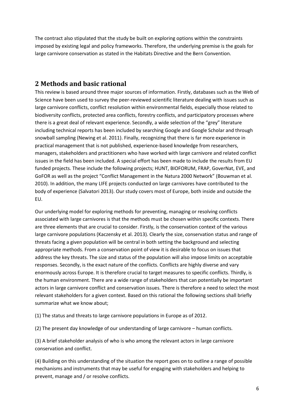The contract also stipulated that the study be built on exploring options within the constraints imposed by existing legal and policy frameworks. Therefore, the underlying premise is the goals for large carnivore conservation as stated in the Habitats Directive and the Bern Convention.

## <span id="page-5-0"></span>**2 Methods and basic rational**

This review is based around three major sources of information. Firstly, databases such as the Web of Science have been used to survey the peer-reviewed scientific literature dealing with issues such as large carnivore conflicts, conflict resolution within environmental fields, especially those related to biodiversity conflicts, protected area conflicts, forestry conflicts, and participatory processes where there is a great deal of relevant experience. Secondly, a wide selection of the "grey" literature including technical reports has been included by searching Google and Google Scholar and through snowball sampling (Newing et al. 2011). Finally, recognizing that there is far more experience in practical management that is not published, experience-based knowledge from researchers, managers, stakeholders and practitioners who have worked with large carnivore and related conflict issues in the field has been included. A special effort has been made to include the results from EU funded projects. These include the following projects; HUNT, BIOFORUM, FRAP, GoverNat, EVE, and GoFOR as well as the project "Conflict Management in the Natura 2000 Network" (Bouwman et al. 2010). In addition, the many LIFE projects conducted on large carnivores have contributed to the body of experience (Salvatori 2013). Our study covers most of Europe, both inside and outside the EU.

Our underlying model for exploring methods for preventing, managing or resolving conflicts associated with large carnivores is that the methods must be chosen within specific contexts. There are three elements that are crucial to consider. Firstly, is the conservation context of the various large carnivore populations (Kaczensky et al. 2013). Clearly the size, conservation status and range of threats facing a given population will be central in both setting the background and selecting appropriate methods. From a conservation point of view it is desirable to focus on issues that address the key threats. The size and status of the population will also impose limits on acceptable responses. Secondly, is the exact nature of the conflicts. Conflicts are highly diverse and vary enormously across Europe. It is therefore crucial to target measures to specific conflicts. Thirdly, is the human environment. There are a wide range of stakeholders that can potentially be important actors in large carnivore conflict and conservation issues. There is therefore a need to select the most relevant stakeholders for a given context. Based on this rational the following sections shall briefly summarize what we know about;

(1) The status and threats to large carnivore populations in Europe as of 2012.

(2) The present day knowledge of our understanding of large carnivore – human conflicts.

(3) A brief stakeholder analysis of who is who among the relevant actors in large carnivore conservation and conflict.

(4) Building on this understanding of the situation the report goes on to outline a range of possible mechanisms and instruments that may be useful for engaging with stakeholders and helping to prevent, manage and / or resolve conflicts.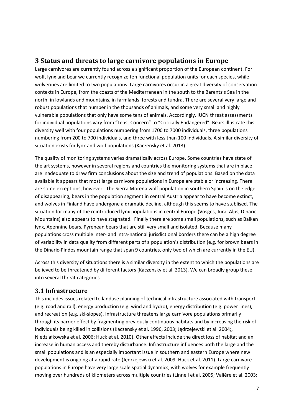## <span id="page-6-0"></span>**3 Status and threats to large carnivore populations in Europe**

Large carnivores are currently found across a significant proportion of the European continent. For wolf, lynx and bear we currently recognize ten functional population units for each species, while wolverines are limited to two populations. Large carnivores occur in a great diversity of conservation contexts in Europe, from the coasts of the Mediterranean in the south to the Barents's Sea in the north, in lowlands and mountains, in farmlands, forests and tundra. There are several very large and robust populations that number in the thousands of animals, and some very small and highly vulnerable populations that only have some tens of animals. Accordingly, IUCN threat assessments for individual populations vary from "Least Concern" to "Critically Endangered". Bears illustrate this diversity well with four populations numbering from 1700 to 7000 individuals, three populations numbering from 200 to 700 individuals, and three with less than 100 individuals. A similar diversity of situation exists for lynx and wolf populations (Kaczensky et al. 2013).

The quality of monitoring systems varies dramatically across Europe. Some countries have state of the art systems, however in several regions and countries the monitoring systems that are in place are inadequate to draw firm conclusions about the size and trend of populations. Based on the data available it appears that most large carnivore populations in Europe are stable or increasing. There are some exceptions, however. The Sierra Morena wolf population in southern Spain is on the edge of disappearing, bears in the population segment in central Austria appear to have become extinct, and wolves in Finland have undergone a dramatic decline, although this seems to have stablised. The situation for many of the reintroduced lynx populations in central Europe (Vosges, Jura, Alps, Dinaric Mountains) also appears to have stagnated. Finally there are some small populations, such as Balkan lynx, Apennine bears, Pyrenean bears that are still very small and isolated. Because many populations cross multiple inter- and intra-national jurisdictional borders there can be a high degree of variability in data quality from different parts of a population's distribution (e.g. for brown bears in the Dinaric-Pindos mountain range that span 9 countries, only two of which are currently in the EU).

Across this diversity of situations there is a similar diversity in the extent to which the populations are believed to be threatened by different factors (Kaczensky et al. 2013). We can broadly group these into several threat categories.

### <span id="page-6-1"></span>**3.1 Infrastructure**

This includes issues related to landuse planning of technical infrastructure associated with transport (e.g. road and rail), energy production (e.g. wind and hydro), energy distribution (e.g. power lines), and recreation (e.g. ski-slopes). Infrastructure threatens large carnivore populations primarily through its barrier effect by fragmenting previously continuous habitats and by increasing the risk of individuals being killed in collisions (Kaczensky et al. 1996, 2003; Jędrzejewski et al. 2004;, Niedziałkowska et al. 2006; Huck et al. 2010). Other effects include the direct loss of habitat and an increase in human access and thereby disturbance. Infrastructure influences both the large and the small populations and is an especially important issue in southern and eastern Europe where new development is ongoing at a rapid rate (Jędrzejewski et al. 2009, Huck et al. 2011). Large carnivore populations in Europe have very large scale spatial dynamics, with wolves for example frequently moving over hundreds of kilometers across multiple countries (Linnell et al. 2005; Valière et al. 2003;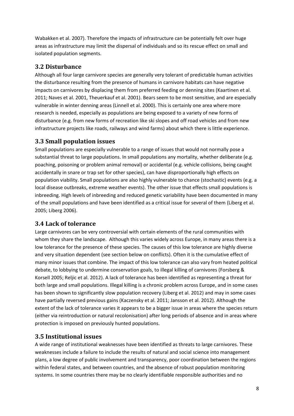Wabakken et al. 2007). Therefore the impacts of infrastructure can be potentially felt over huge areas as infrastructure may limit the dispersal of individuals and so its rescue effect on small and isolated population segments.

## <span id="page-7-0"></span>**3.2 Disturbance**

Although all four large carnivore species are generally very tolerant of predictable human activities the disturbance resulting from the presence of humans in carnivore habitats can have negative impacts on carnivores by displacing them from preferred feeding or denning sites (Kaartinen et al. 2011; Naves et al. 2001, Theuerkauf et al. 2001). Bears seem to be most sensitive, and are especially vulnerable in winter denning areas (Linnell et al. 2000). This is certainly one area where more research is needed, especially as populations are being exposed to a variety of new forms of disturbance (e.g. from new forms of recreation like ski slopes and off road vehicles and from new infrastructure projects like roads, railways and wind farms) about which there is little experience.

## <span id="page-7-1"></span>**3.3 Small population issues**

Small populations are especially vulnerable to a range of issues that would not normally pose a substantial threat to large populations. In small populations any mortality, whether deliberate (e.g. poaching, poisoning or problem animal removal) or accidental (e.g. vehicle collisions, being caught accidentally in snare or trap set for other species), can have disproportionally high effects on population viability. Small populations are also highly vulnerable to chance (stochastic) events (e.g. a local disease outbreaks, extreme weather events). The other issue that effects small populations is inbreeding. High levels of inbreeding and reduced genetic variability have been documented in many of the small populations and have been identified as a critical issue for several of them (Liberg et al. 2005; Liberg 2006).

## <span id="page-7-2"></span>**3.4 Lack of tolerance**

Large carnivores can be very controversial with certain elements of the rural communities with whom they share the landscape. Although this varies widely across Europe, in many areas there is a low tolerance for the presence of these species. The causes of this low tolerance are highly diverse and very situation dependent (see section below on conflicts). Often it is the cumulative effect of many minor issues that combine. The impact of this low tolerance can also vary from heated political debate, to lobbying to undermine conservation goals, to illegal killing of carnivores (Forsberg & Korsell 2005; Reljic et al. 2012). A lack of tolerance has been identified as representing a threat for both large and small populations. Illegal killing is a chronic problem across Europe, and in some cases has been shown to significantly slow population recovery (Liberg et al. 2012) and may in some cases have partially reversed previous gains (Kaczensky et al. 2011; Jansson et al. 2012). Although the extent of the lack of tolerance varies it appears to be a bigger issue in areas where the species return (either via reintroduction or natural recolonisation) after long periods of absence and in areas where protection is imposed on previously hunted populations.

## <span id="page-7-3"></span>**3.5 Institutional issues**

A wide range of institutional weaknesses have been identified as threats to large carnivores. These weaknesses include a failure to include the results of natural and social science into management plans, a low degree of public involvement and transparency, poor coordination between the regions within federal states, and between countries, and the absence of robust population monitoring systems. In some countries there may be no clearly identifiable responsible authorities and no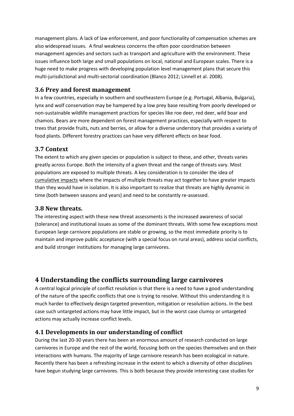management plans. A lack of law enforcement, and poor functionality of compensation schemes are also widespread issues. A final weakness concerns the often poor coordination between management agencies and sectors such as transport and agriculture with the environment. These issues influence both large and small populations on local, national and European scales. There is a huge need to make progress with developing population level management plans that secure this multi-jurisdictional and multi-sectorial coordination (Blanco 2012; Linnell et al. 2008).

## <span id="page-8-0"></span>**3.6 Prey and forest management**

In a few countries, especially in southern and southeastern Europe (e.g. Portugal, Albania, Bulgaria), lynx and wolf conservation may be hampered by a low prey base resulting from poorly developed or non-sustainable wildlife management practices for species like roe deer, red deer, wild boar and chamois. Bears are more dependent on forest management practices, especially with respect to trees that provide fruits, nuts and berries, or allow for a diverse understory that provides a variety of food plants. Different forestry practices can have very different effects on bear food.

### <span id="page-8-1"></span>**3.7 Context**

The extent to which any given species or population is subject to these, and other, threats varies greatly across Europe. Both the intensity of a given threat and the range of threats vary. Most populations are exposed to multiple threats. A key consideration is to consider the idea of cumulative impacts where the impacts of multiple threats may act together to have greater impacts than they would have in isolation. It is also important to realize that threats are highly dynamic in time (both between seasons and years) and need to be constantly re-assessed.

#### <span id="page-8-2"></span>**3.8 New threats.**

The interesting aspect with these new threat assessments is the increased awareness of social (tolerance) and institutional issues as some of the dominant threats. With some few exceptions most European large carnivore populations are stable or growing, so the most immediate priority is to maintain and improve public acceptance (with a special focus on rural areas), address social conflicts, and build stronger institutions for managing large carnivores.

## <span id="page-8-3"></span>**4 Understanding the conflicts surrounding large carnivores**

A central logical principle of conflict resolution is that there is a need to have a good understanding of the nature of the specific conflicts that one is trying to resolve. Without this understanding it is much harder to effectively design targeted prevention, mitigation or resolution actions. In the best case such untargeted actions may have little impact, but in the worst case clumsy or untargeted actions may actually increase conflict levels.

### <span id="page-8-4"></span>**4.1 Developments in our understanding of conflict**

During the last 20-30 years there has been an enormous amount of research conducted on large carnivores in Europe and the rest of the world, focusing both on the species themselves and on their interactions with humans. The majority of large carnivore research has been ecological in nature. Recently there has been a refreshing increase in the extent to which a diversity of other disciplines have begun studying large carnivores. This is both because they provide interesting case studies for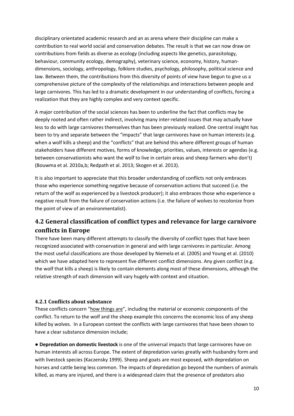disciplinary orientated academic research and an as arena where their discipline can make a contribution to real world social and conservation debates. The result is that we can now draw on contributions from fields as diverse as ecology (including aspects like genetics, parasitology, behaviour, community ecology, demography), veterinary science, economy, history, humandimensions, sociology, anthropology, folklore studies, psychology, philosophy, political science and law. Between them, the contributions from this diversity of points of view have begun to give us a comprehensive picture of the complexity of the relationships and interactions between people and large carnivores. This has led to a dramatic development in our understanding of conflicts, forcing a realization that they are highly complex and very context specific.

A major contribution of the social sciences has been to underline the fact that conflicts may be deeply rooted and often rather indirect, involving many inter-related issues that may actually have less to do with large carnivores themselves than has been previously realized. One central insight has been to try and separate between the "impacts" that large carnivores have on human interests (e.g. when a wolf kills a sheep) and the "conflicts" that are behind this where different groups of human stakeholders have different motives, forms of knowledge, priorities, values, interests or agendas (e.g. between conservationists who want the wolf to live in certain areas and sheep farmers who don't) (Bouwma et al. 2010a,b; Redpath et al. 2013; Skogen et al. 2013).

It is also important to appreciate that this broader understanding of conflicts not only embraces those who experience something negative because of conservation actions that succeed (i.e. the return of the wolf as experienced by a livestock producer); it also embraces those who experience a negative result from the failure of conservation actions (i.e. the failure of wolves to recolonize from the point of view of an environmentalist).

## <span id="page-9-0"></span>**4.2 General classification of conflict types and relevance for large carnivore conflicts in Europe**

There have been many different attempts to classify the diversity of conflict types that have been recognized associated with conservation in general and with large carnivores in particular. Among the most useful classifications are those developed by Niemela et al. (2005) and Young et al. (2010) which we have adapted here to represent five different conflict dimensions. Any given conflict (e.g. the wolf that kills a sheep) is likely to contain elements along most of these dimensions, although the relative strength of each dimension will vary hugely with context and situation.

#### <span id="page-9-1"></span>**4.2.1 Conflicts about substance**

These conflicts concern "how things are", including the material or economic components of the conflict. To return to the wolf and the sheep example this concerns the economic loss of any sheep killed by wolves. In a European context the conflicts with large carnivores that have been shown to have a clear substance dimension include;

● **Depredation on domestic livestock** is one of the universal impacts that large carnivores have on human interests all across Europe. The extent of depredation varies greatly with husbandry form and with livestock species (Kaczensky 1999). Sheep and goats are most exposed, with depredation on horses and cattle being less common. The impacts of depredation go beyond the numbers of animals killed, as many are injured, and there is a widespread claim that the presence of predators also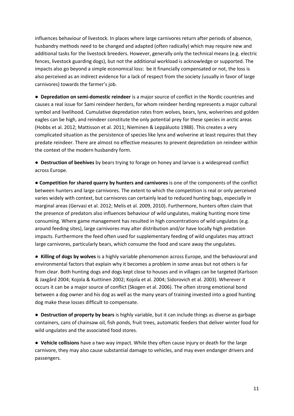influences behaviour of livestock. In places where large carnivores return after periods of absence, husbandry methods need to be changed and adapted (often radically) which may require new and additional tasks for the livestock breeders. However, generally only the technical means (e.g. electric fences, livestock guarding dogs), but not the additional workload is acknowledge or supported. The impacts also go beyond a simple economical loss: be it financially compensated or not, the loss is also perceived as an indirect evidence for a lack of respect from the society (usually in favor of large carnivores) towards the farmer's job.

● **Depredation on semi-domestic reindeer** is a major source of conflict in the Nordic countries and causes a real issue for Sami reindeer herders, for whom reindeer herding represents a major cultural symbol and livelihood. Cumulative depredation rates from wolves, bears, lynx, wolverines and golden eagles can be high, and reindeer constitute the only potential prey for these species in arctic areas (Hobbs et al. 2012; Mattisson et al. 2011; Nieminen & Leppäluoto 1988). This creates a very complicated situation as the persistence of species like lynx and wolverine at least requires that they predate reindeer. There are almost no effective measures to prevent depredation on reindeer within the context of the modern husbandry form.

● **Destruction of beehives** by bears trying to forage on honey and larvae is a widespread conflict across Europe.

● **Competition for shared quarry by hunters and carnivores** is one of the components of the conflict between hunters and large carnivores. The extent to which the competition is real or only perceived varies widely with context, but carnivores can certainly lead to reduced hunting bags, especially in marginal areas (Gervasi et al. 2012; Melis et al. 2009, 2010). Furthermore, hunters often claim that the presence of predators also influences behaviour of wild ungulates, making hunting more time consuming. Where game management has resulted in high concentrations of wild ungulates (e.g. around feeding sites), large carnivores may alter distribution and/or have locally high predation impacts. Furthermore the feed often used for supplementary feeding of wild ungulates may attract large carnivores, particularly bears, which consume the food and scare away the ungulates.

● **Killing of dogs by wolves** is a highly variable phenomenon across Europe, and the behavioural and environmental factors that explain why it becomes a problem in some areas but not others is far from clear. Both hunting dogs and dogs kept close to houses and in villages can be targeted (Karlsson & Jaxgård 2004; Kojola & Kuittinen 2002; Kojola et al. 2004; Sidorovich et al. 2003). Wherever it occurs it can be a major source of conflict (Skogen et al. 2006). The often strong emotional bond between a dog owner and his dog as well as the many years of training invested into a good hunting dog make these losses difficult to compensate.

● **Destruction of property by bears** is highly variable, but it can include things as diverse as garbage containers, cans of chainsaw oil, fish ponds, fruit trees, automatic feeders that deliver winter food for wild ungulates and the associated food stores.

● **Vehicle collisions** have a two way impact. While they often cause injury or death for the large carnivore, they may also cause substantial damage to vehicles, and may even endanger drivers and passengers.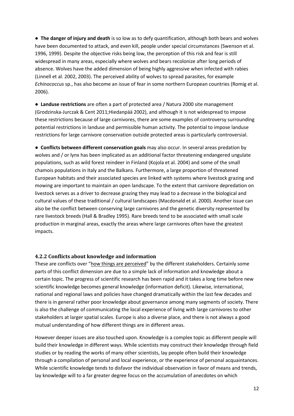● **The danger of injury and death** is so low as to defy quantification, although both bears and wolves have been documented to attack, and even kill, people under special circumstances (Swenson et al. 1996, 1999). Despite the objective risks being low, the perception of this risk and fear is still widespread in many areas, especially where wolves and bears recolonize after long periods of absence. Wolves have the added dimension of being highly aggressive when infected with rabies (Linnell et al. 2002, 2003). The perceived ability of wolves to spread parasites, for example *Echinococcus* sp., has also become an issue of fear in some northern European countries (Romig et al. 2006).

● **Landuse restrictions** are often a part of protected area / Natura 2000 site management (Grodzinska-Jurczak & Cent 2011;Hiedanpää 2002), and although it is not widespread to impose these restrictions because of large carnivores, there are some examples of controversy surrounding potential restrictions in landuse and permissible human activity. The potential to impose landuse restrictions for large carnivore conservation outside protected areas is particularly controversial.

● **Conflicts between different conservation goals** may also occur. In several areas predation by wolves and / or lynx has been implicated as an additional factor threatening endangered ungulate populations, such as wild forest reindeer in Finland (Kojola et al. 2004) and some of the small chamois populations in Italy and the Balkans. Furthermore, a large proportion of threatened European habitats and their associated species are linked with systems where livestock grazing and mowing are important to maintain an open landscape. To the extent that carnivore depredation on livestock serves as a driver to decrease grazing they may lead to a decrease in the biological and cultural values of these traditional / cultural landscapes (Macdonald et al. 2000). Another issue can also be the conflict between conserving large carnivores and the genetic diversity represented by rare livestock breeds (Hall & Bradley 1995). Rare breeds tend to be associated with small scale production in marginal areas, exactly the areas where large carnivores often have the greatest impacts.

#### <span id="page-11-0"></span>**4.2.2 Conflicts about knowledge and information**

These are conflicts over "how things are perceived" by the different stakeholders. Certainly some parts of this conflict dimension are due to a simple lack of information and knowledge about a certain topic. The progress of scientific research has been rapid and it takes a long time before new scientific knowledge becomes general knowledge (information deficit). Likewise, international, national and regional laws and policies have changed dramatically within the last few decades and there is in general rather poor knowledge about governance among many segments of society. There is also the challenge of communicating the local experience of living with large carnivores to other stakeholders at larger spatial scales. Europe is also a diverse place, and there is not always a good mutual understanding of how different things are in different areas.

However deeper issues are also touched upon. Knowledge is a complex topic as different people will build their knowledge in different ways. While scientists may construct their knowledge through field studies or by reading the works of many other scientists, lay people often build their knowledge through a compilation of personal and local experience, or the experience of personal acquaintances. While scientific knowledge tends to disfavor the individual observation in favor of means and trends, lay knowledge will to a far greater degree focus on the accumulation of anecdotes on which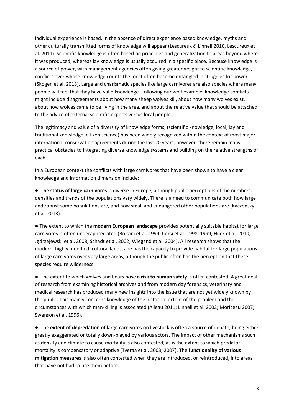individual experience is based. In the absence of direct experience based knowledge, myths and other culturally transmitted forms of knowledge will appear (Lescureux & Linnell 2010, Lescureux et al. 2011). Scientific knowledge is often based on principles and generalization to areas beyond where it was produced, whereas lay knowledge is usually acquired in a specific place. Because knowledge is a source of power, with management agencies often giving greater weight to scientific knowledge, conflicts over whose knowledge counts the most often become entangled in struggles for power (Skogen et al. 2013). Large and charismatic species like large carnivores are also species where many people will feel that they have valid knowledge. Following our wolf example, knowledge conflicts might include disagreements about how many sheep wolves kill, about how many wolves exist, about how wolves came to be living in the area, and about the relative value that should be attached to the advice of external scientific experts versus local people.

The legitimacy and value of a diversity of knowledge forms, (scientific knowledge, local, lay and traditional knowledge, citizen science) has been widely recognized within the context of most major international conservation agreements during the last 20 years, however, there remain many practical obstacles to integrating diverse knowledge systems and building on the relative strengths of each.

In a European context the conflicts with large carnivores that have been shown to have a clear knowledge and information dimension include:

● **The status of large carnivores** is diverse in Europe, although public perceptions of the numbers, densities and trends of the populations vary widely. There is a need to communicate both how large and robust some populations are, and how small and endangered other populations are (Kaczensky et al. 2013).

● The extent to which the **modern European landscape** provides potentially suitable habitat for large carnivores is often underappreciated (Boitani et al. 1999; Corsi et al. 1998, 1999; Huck et al. 2010; Jędrzejewski et al. 2008; Schadt et al. 2002; Wiegand et al. 2004). All research shows that the modern, highly modified, cultural landscape has the capacity to provide habitat for large populations of large carnivores over very large areas, although the public often has the perception that these species require wilderness.

● The extent to which wolves and bears pose **a risk to human safety** is often contested. A great deal of research from examining historical archives and from modern day forensics, veterinary and medical research has produced many new insights into the issue that are not yet widely known by the public. This mainly concerns knowledge of the historical extent of the problem and the circumstances with which man-killing is associated (Alleau 2011; Linnell et al. 2002; Moriceau 2007; Swenson et al. 1996).

● The **extent of depredation** of large carnivores on livestock is often a source of debate, being either greatly exaggerated or totally down-played by various actors. The impact of other mechanisms such as density and climate to cause mortality is also contested, as is the extent to which predator mortality is compensatory or adaptive (Tveraa et al. 2003, 2007). The **functionality of various mitigation measures** is also often contested when they are introduced, or reintroduced, into areas that have not had to use them before.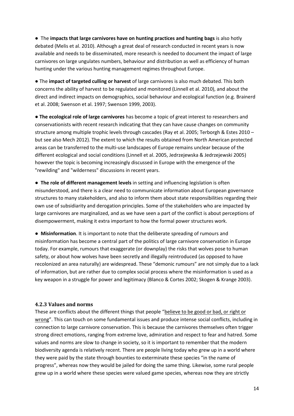● The **impacts that large carnivores have on hunting practices and hunting bags** is also hotly debated (Melis et al. 2010). Although a great deal of research conducted in recent years is now available and needs to be disseminated, more research is needed to document the impact of large carnivores on large ungulates numbers, behaviour and distribution as well as efficiency of human hunting under the various hunting management regimes throughout Europe.

● The **impact of targeted culling or harvest** of large carnivores is also much debated. This both concerns the ability of harvest to be regulated and monitored (Linnell et al. 2010), and about the direct and indirect impacts on demographics, social behaviour and ecological function (e.g. Brainerd et al. 2008; Swenson et al. 1997; Swenson 1999, 2003).

● **The ecological role of large carnivores** has become a topic of great interest to researchers and conservationists with recent research indicating that they can have cause changes on community structure among multiple trophic levels through cascades (Ray et al. 2005; Terborgh & Estes 2010 – but see also Mech 2012). The extent to which the results obtained from North American protected areas can be transferred to the multi-use landscapes of Europe remains unclear because of the different ecological and social conditions (Linnell et al. 2005, Jedrzejewska & Jedrzejewski 2005) however the topic is becoming increasingly discussed in Europe with the emergence of the "rewilding" and "wilderness" discussions in recent years.

● **The role of different management levels** in setting and influencing legislation is often misunderstood, and there is a clear need to communicate information about European governance structures to many stakeholders, and also to inform them about state responsibilities regarding their own use of subsidiarity and derogation principles. Some of the stakeholders who are impacted by large carnivores are marginalized, and as we have seen a part of the conflict is about perceptions of disempowerment, making it extra important to how the formal power structures work.

● **Misinformation**. It is important to note that the deliberate spreading of rumours and misinformation has become a central part of the politics of large carnivore conservation in Europe today. For example, rumours that exaggerate (or downplay) the risks that wolves pose to human safety, or about how wolves have been secretly and illegally reintroduced (as opposed to have recolonized an area naturally) are widespread. These "demonic rumours" are not simply due to a lack of information, but are rather due to complex social process where the misinformation is used as a key weapon in a struggle for power and legitimacy (Blanco & Cortes 2002; Skogen & Krange 2003).

#### <span id="page-13-0"></span>**4.2.3 Values and norms**

These are conflicts about the different things that people "believe to be good or bad, or right or wrong". This can touch on some fundamental issues and produce intense social conflicts, including in connection to large carnivore conservation. This is because the carnivores themselves often trigger strong direct emotions, ranging from extreme love, admiration and respect to fear and hatred. Some values and norms are slow to change in society, so it is important to remember that the modern biodiversity agenda is relatively recent. There are people living today who grew up in a world where they were paid by the state through bounties to exterminate these species "in the name of progress", whereas now they would be jailed for doing the same thing. Likewise, some rural people grew up in a world where these species were valued game species, whereas now they are strictly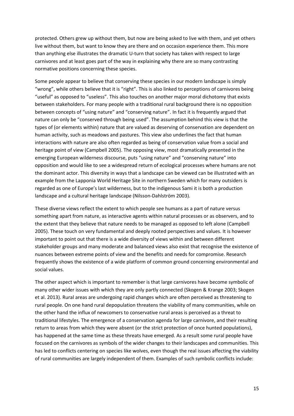protected. Others grew up without them, but now are being asked to live with them, and yet others live without them, but want to know they are there and on occasion experience them. This more than anything else illustrates the dramatic U-turn that society has taken with respect to large carnivores and at least goes part of the way in explaining why there are so many contrasting normative positions concerning these species.

Some people appear to believe that conserving these species in our modern landscape is simply "wrong", while others believe that it is "right". This is also linked to perceptions of carnivores being "useful" as opposed to "useless". This also touches on another major moral dichotomy that exists between stakeholders. For many people with a traditional rural background there is no opposition between concepts of "using nature" and "conserving nature". In fact it is frequently argued that nature can only be "conserved through being used". The assumption behind this view is that the types of (or elements within) nature that are valued as deserving of conservation are dependent on human activity, such as meadows and pastures. This view also underlines the fact that human interactions with nature are also often regarded as being of conservation value from a social and heritage point of view (Campbell 2005). The opposing view, most dramatically presented in the emerging European wilderness discourse, puts "using nature" and "conserving nature" into opposition and would like to see a widespread return of ecological processes where humans are not the dominant actor. This diversity in ways that a landscape can be viewed can be illustrated with an example from the Lapponia World Heritage Site in northern Sweden which for many outsiders is regarded as one of Europe's last wilderness, but to the indigenous Sami it is both a production landscape and a cultural heritage landscape (Nilsson-Dahlström 2003).

These diverse views reflect the extent to which people see humans as a part of nature versus something apart from nature, as interactive agents within natural processes or as observers, and to the extent that they believe that nature needs to be managed as opposed to left alone (Campbell 2005). These touch on very fundamental and deeply rooted perspectives and values. It is however important to point out that there is a wide diversity of views within and between different stakeholder groups and many moderate and balanced views also exist that recognise the existence of nuances between extreme points of view and the benefits and needs for compromise. Research frequently shows the existence of a wide platform of common ground concerning environmental and social values.

The other aspect which is important to remember is that large carnivores have become symbolic of many other wider issues with which they are only partly connected (Skogen & Krange 2003; Skogen et al. 2013). Rural areas are undergoing rapid changes which are often perceived as threatening to rural people. On one hand rural depopulation threatens the viability of many communities, while on the other hand the influx of newcomers to conservative rural areas is perceived as a threat to traditional lifestyles. The emergence of a conservation agenda for large carnivore, and their resulting return to areas from which they were absent (or the strict protection of once hunted populations), has happened at the same time as these threats have emerged. As a result some rural people have focused on the carnivores as symbols of the wider changes to their landscapes and communities. This has led to conflicts centering on species like wolves, even though the real issues affecting the viability of rural communities are largely independent of them. Examples of such symbolic conflicts include: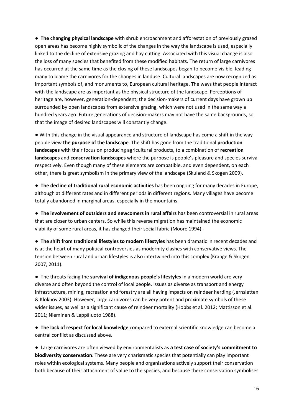● **The changing physical landscape** with shrub encroachment and afforestation of previously grazed open areas has become highly symbolic of the changes in the way the landscape is used, especially linked to the decline of extensive grazing and hay cutting. Associated with this visual change is also the loss of many species that benefited from these modified habitats. The return of large carnivores has occurred at the same time as the closing of these landscapes began to become visible, leading many to blame the carnivores for the changes in landuse. Cultural landscapes are now recognized as important symbols of, and monuments to, European cultural heritage. The ways that people interact with the landscape are as important as the physical structure of the landscape. Perceptions of heritage are, however, generation-dependent; the decision-makers of current days have grown up surrounded by open landscapes from extensive grazing, which were not used in the same way a hundred years ago. Future generations of decision-makers may not have the same backgrounds, so that the image of desired landscapes will constantly change.

● With this change in the visual appearance and structure of landscape has come a shift in the way people view **the purpose of the landscape**. The shift has gone from the traditional **production landscapes** with their focus on producing agricultural products, to a combination of **recreation landscapes** and **conservation landscapes** where the purpose is people's pleasure and species survival respectively. Even though many of these elements are compatible, and even dependent, on each other, there is great symbolism in the primary view of the landscape (Skuland & Skogen 2009).

● **The decline of traditional rural economic activities** has been ongoing for many decades in Europe, although at different rates and in different periods in different regions. Many villages have become totally abandoned in marginal areas, especially in the mountains.

● **The involvement of outsiders and newcomers in rural affairs** has been controversial in rural areas that are closer to urban centers. So while this reverse migration has maintained the economic viability of some rural areas, it has changed their social fabric (Moore 1994).

● **The shift from traditional lifestyles to modern lifestyles** has been dramatic in recent decades and is at the heart of many political controversies as modernity clashes with conservative views. The tension between rural and urban lifestyles is also intertwined into this complex (Krange & Skogen 2007, 2011).

● The threats facing the **survival of indigenous people's lifestyles** in a modern world are very diverse and often beyond the control of local people. Issues as diverse as transport and energy infrastructure, mining, recreation and forestry are all having impacts on reindeer herding (Jernsletten & Klokhov 2003). However, large carnivores can be very potent and proximate symbols of these wider issues, as well as a significant cause of reindeer mortality (Hobbs et al. 2012; Mattisson et al. 2011; Nieminen & Leppäluoto 1988).

● **The lack of respect for local knowledge** compared to external scientific knowledge can become a central conflict as discussed above.

● Large carnivores are often viewed by environmentalists as **a test case of society's commitment to biodiversity conservation**. These are very charismatic species that potentially can play important roles within ecological systems. Many people and organisations actively support their conservation both because of their attachment of value to the species, and because there conservation symbolises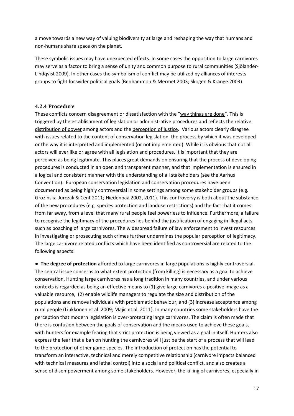a move towards a new way of valuing biodiversity at large and reshaping the way that humans and non-humans share space on the planet.

These symbolic issues may have unexpected effects. In some cases the opposition to large carnivores may serve as a factor to bring a sense of unity and common purpose to rural communities (Sjölander-Lindqvist 2009). In other cases the symbolism of conflict may be utilized by alliances of interests groups to fight for wider political goals (Benhammou & Mermet 2003; Skogen & Krange 2003).

#### <span id="page-16-0"></span>**4.2.4 Procedure**

These conflicts concern disagreement or dissatisfaction with the "way things are done". This is triggered by the establishment of legislation or administrative procedures and reflects the relative distribution of power among actors and the perception of justice. Various actors clearly disagree with issues related to the content of conservation legislation, the process by which it was developed or the way it is interpreted and implemented (or not implemented). While it is obvious that not all actors will ever like or agree with all legislation and procedures, it is important that they are perceived as being legitimate. This places great demands on ensuring that the process of developing procedures is conducted in an open and transparent manner, and that implementation is ensured in a logical and consistent manner with the understanding of all stakeholders (see the Aarhus Convention). European conservation legislation and conservation procedures have been documented as being highly controversial in some settings among some stakeholder groups (e.g. Grozinska-Jurczak & Cent 2011; Hiedenpää 2002, 2011). This controversy is both about the substance of the new procedures (e.g. species protection and landuse restrictions) and the fact that it comes from far away, from a level that many rural people feel powerless to influence. Furthermore, a failure to recognise the legitimacy of the procedures lies behind the justification of engaging in illegal acts such as poaching of large carnivores. The widespread failure of law enforcement to invest resources in investigating or prosecuting such crimes further undermines the popular perception of legitimacy. The large carnivore related conflicts which have been identified as controversial are related to the following aspects:

● **The degree of protection** afforded to large carnivores in large populations is highly controversial. The central issue concerns to what extent protection (from killing) is necessary as a goal to achieve conservation. Hunting large carnivores has a long tradition in many countries, and under various contexts is regarded as being an effective means to (1) give large carnivores a positive image as a valuable resource, (2) enable wildlife managers to regulate the size and distribution of the populations and remove individuals with problematic behaviour, and (3) increase acceptance among rural people (Liukkonen et al. 2009; Majic et al. 2011). In many countries some stakeholders have the perception that modern legislation is over-protecting large carnivores. The claim is often made that there is confusion between the goals of conservation and the means used to achieve these goals, with hunters for example fearing that strict protection is being viewed as a goal in itself. Hunters also express the fear that a ban on hunting the carnivores will just be the start of a process that will lead to the protection of other game species. The introduction of protection has the potential to transform an interactive, technical and merely competitive relationship (carnivore impacts balanced with technical measures and lethal control) into a social and political conflict, and also creates a sense of disempowerment among some stakeholders. However, the killing of carnivores, especially in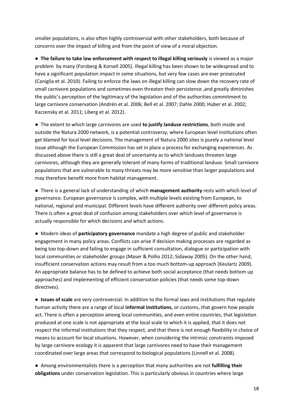smaller populations, is also often highly controversial with other stakeholders, both because of concerns over the impact of killing and from the point of view of a moral objection.

● **The failure to take law enforcement with respect to illegal killing seriously** is viewed as a major problem by many (Forsberg & Korsell 2005). Illegal killing has been shown to be widespread and to have a significant population impact in some situations, but very few cases are ever prosecuted (Caniglia et al. 2010). Failing to enforce the laws on illegal killing can slow down the recovery rate of small carnivore populations and sometimes even threaten their persistence ,and greatly diminishes the public's perception of the legitimacy of the legislation and of the authorities commitment to large carnivore conservation (Andrén et al. 2006; Bell et al. 2007; Dahle 2000; Huber et al. 2002; Kaczensky et al. 2011; Liberg et al. 2012).

● The extent to which large carnivores are used **to justify landuse restrictions**, both inside and outside the Natura 2000 network, is a potential controversy, where European level institutions often get blamed for local level decisions. The management of Natura 2000 sites is purely a national level issue although the European Commission has set in place a process for exchanging experiences. As discussed above there is still a great deal of uncertainty as to which landuses threaten large carnivores, although they are generally tolerant of many forms of traditional landuse. Small carnivore populations that are vulnerable to many threats may be more sensitive than larger populations and may therefore benefit more from habitat management.

● There is a general lack of understanding of which **management authority** rests with which level of governance. European governance is complex, with multiple levels existing from European, to national, regional and municipal. Different levels have different authority over different policy areas. There is often a great deal of confusion among stakeholders over which level of governance is actually responsible for which decisions and which actions.

● Modern ideas of **participatory governance** mandate a high degree of public and stakeholder engagement in many policy areas. Conflicts can arise if decision making processes are regarded as being too top-down and failing to engage in sufficient consultation, dialogue or participation with local communities or stakeholder groups (Maser & Pollio 2012; Sidaway 2005). On the other hand, insufficient conservation actions may result from a too much bottom-up approach (Keulartz 2009). An appropriate balance has to be defined to achieve both social acceptance (that needs bottom up approaches) and implementing of efficient conservation policies (that needs some top-down directives).

● **Issues of scale** are very controversial. In addition to the formal laws and institutions that regulate human activity there are a range of local **informal institutions**, or customs, that govern how people act. There is often a perception among local communities, and even entire countries, that legislation produced at one scale is not appropriate at the local scale to which it is applied, that it does not respect the informal institutions that they respect, and that there is not enough flexibility in choice of means to account for local situations. However, when considering the intrinsic constraints imposed by large carnivore ecology it is apparent that large carnivores need to have their management coordinated over large areas that correspond to biological populations (Linnell et al. 2008).

● Among environmentalists there is a perception that many authorities are not **fulfilling their obligations** under conservation legislation. This is particularly obvious in countries where large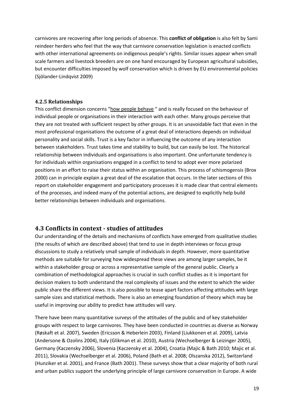carnivores are recovering after long periods of absence. This **conflict of obligation** is also felt by Sami reindeer herders who feel that the way that carnivore conservation legislation is enacted conflicts with other international agreements on indigenous people's rights. Similar issues appear when small scale farmers and livestock breeders are on one hand encouraged by European agricultural subsidies, but encounter difficulties imposed by wolf conservation which is driven by EU environmental policies (Sjölander-Lindqvist 2009)

#### <span id="page-18-0"></span>**4.2.5 Relationships**

This conflict dimension concerns "how people behave " and is really focused on the behaviour of individual people or organisations in their interaction with each other. Many groups perceive that they are not treated with sufficient respect by other groups. It is an unavoidable fact that even in the most professional organisations the outcome of a great deal of interactions depends on individual personality and social skills. Trust is a key factor in influencing the outcome of any interaction between stakeholders. Trust takes time and stability to build, but can easily be lost. The historical relationship between individuals and organisations is also important. One unfortunate tendency is for individuals within organisations engaged in a conflict to tend to adopt ever more polarized positions in an effort to raise their status within an organisation. This process of schismogensis (Brox 2000) can in principle explain a great deal of the escalation that occurs. In the later sections of this report on stakeholder engagement and participatory processes it is made clear that central elements of the processes, and indeed many of the potential actions, are designed to explicitly help build better relationships between individuals and organisations.

## <span id="page-18-1"></span>**4.3 Conflicts in context - studies of attitudes**

Our understanding of the details and mechanisms of conflicts have emerged from qualitative studies (the results of which are described above) that tend to use in depth interviews or focus group discussions to study a relatively small sample of individuals in depth. However, more quantitative methods are suitable for surveying how widespread these views are among larger samples, be it within a stakeholder group or across a representative sample of the general public. Clearly a combination of methodological approaches is crucial in such conflict studies as it is important for decision makers to both understand the real complexity of issues and the extent to which the wider public share the different views. It is also possible to tease apart factors affecting attitudes with large sample sizes and statistical methods. There is also an emerging foundation of theory which may be useful in improving our ability to predict haw attitudes will vary.

There have been many quantitative surveys of the attitudes of the public and of key stakeholder groups with respect to large carnivores. They have been conducted in countries as diverse as Norway (Røskaft et al. 2007), Sweden (Ericsson & Heberlein 2003), Finland (Liukkonen et al. 2009), Latvia (Andersone & Ozolins 2004), Italy (Glikman et al. 2010), Austria (Wechselberger & Leizinger 2005), Germany (Kaczensky 2006), Slovenia (Kaczensky et al. 2004), Croatia (Majic & Bath 2010; Majic et al. 2011), Slovakia (Wechselberger et al. 2006), Poland (Bath et al. 2008; Olszanska 2012), Switzerland (Hunziker et al. 2001), and France (Bath 2001). These surveys show that a clear majority of both rural and urban publics support the underlying principle of large carnivore conservation in Europe. A wide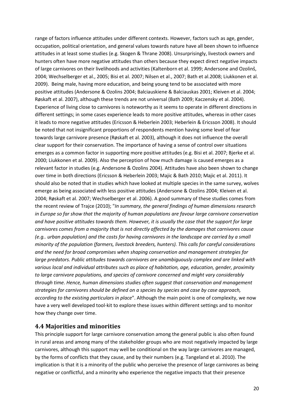range of factors influence attitudes under different contexts. However, factors such as age, gender, occupation, political orientation, and general values towards nature have all been shown to influence attitudes in at least some studies (e.g. Skogen & Thrane 2008). Unsurprisingly, livestock owners and hunters often have more negative attitudes than others because they expect direct negative impacts of large carnivores on their livelihoods and activities (Kaltenborn et al. 1999; Andersone and Ozolinš, 2004; Wechselberger et al., 2005; Bisi et al. 2007; Nilsen et al., 2007; Bath et al.2008; Liukkonen et al. 2009). Being male, having more education, and being young tend to be associated with more positive attitudes (Andersone & Ozolins 2004; Balciauskiene & Balciauskas 2001; Kleiven et al. 2004; Røskaft et al. 2007), although these trends are not universal (Bath 2009; Kaczensky et al. 2004). Experience of living close to carnivores is noteworthy as it seems to operate in different directions in different settings; in some cases experience leads to more positive attitudes, whereas in other cases it leads to more negative attitudes (Ericsson & Heberlein 2003; Heberlein & Ericsson 2008). It should be noted that not insignificant proportions of respondents mention having some level of fear towards large carnivore presence (Røskaft et al. 2003), although it does not influence the overall clear support for their conservation. The importance of having a sense of control over situations emerges as a common factor in supporting more positive attitudes (e.g. Bisi et al. 2007; Bjerke et al. 2000; Liukkonen et al. 2009). Also the perception of how much damage is caused emerges as a relevant factor in studies (e.g. Andersone & Ozolins 2004). Attitudes have also been shown to change over time in both directions (Ericsson & Heberlein 2003; Majic & Bath 2010; Majic et al. 2011). It should also be noted that in studies which have looked at multiple species in the same survey, wolves emerge as being associated with less positive attitudes (Andersone & Ozolins 2004; Kleiven et al. 2004; Røskaft et al. 2007; Wechselberger et al. 2006). A good summary of these studies comes from the recent review of Trajce (2010); "*In summary, the general findings of human dimensions research in Europe so far show that the majority of human populations are favour large carnivore conservation and have positive attitudes towards them. However, it is usually the case that the support for large carnivores comes from a majority that is not directly affected by the damages that carnivores cause (e.g.. urban population) and the costs for having carnivores in the landscape are carried by a small minority of the population (farmers, livestock breeders, hunters). This calls for careful considerations and the need for broad compromises when shaping conservation and management strategies for large predators. Public attitudes towards carnivores are unambiguously complex and are linked with various local and individual attributes such as place of habitation, age, education, gender, proximity to large carnivore populations, and species of carnivore concerned and might vary considerably through time. Hence, human dimensions studies often suggest that conservation and management strategies for carnivores should be defined on a species by species and case by case approach, according to the existing particulars in place*". Although the main point is one of complexity, we now have a very well developed tool-kit to explore these issues within different settings and to monitor how they change over time.

#### <span id="page-19-0"></span>**4.4 Majorities and minorities**

This principle support for large carnivore conservation among the general public is also often found in rural areas and among many of the stakeholder groups who are most negatively impacted by large carnivores, although this support may well be conditional on the way large carnivores are managed, by the forms of conflicts that they cause, and by their numbers (e.g. Tangeland et al. 2010). The implication is that it is a minority of the public who perceive the presence of large carnivores as being negative or conflictful, and a minority who experience the negative impacts that their presence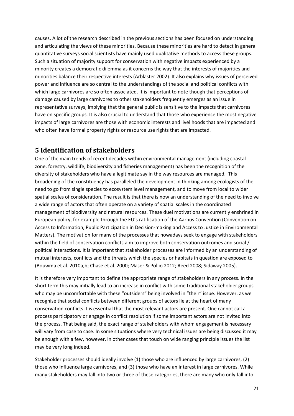causes. A lot of the research described in the previous sections has been focused on understanding and articulating the views of these minorities. Because these minorities are hard to detect in general quantitative surveys social scientists have mainly used qualitative methods to access these groups. Such a situation of majority support for conservation with negative impacts experienced by a minority creates a democratic dilemma as it concerns the way that the interests of majorities and minorities balance their respective interests (Arblaster 2002). It also explains why issues of perceived power and influence are so central to the understandings of the social and political conflicts with which large carnivores are so often associated. It is important to note though that perceptions of damage caused by large carnivores to other stakeholders frequently emerges as an issue in representative surveys, implying that the general public is sensitive to the impacts that carnivores have on specific groups. It is also crucial to understand that those who experience the most negative impacts of large carnivores are those with economic interests and livelihoods that are impacted and who often have formal property rights or resource use rights that are impacted.

## <span id="page-20-0"></span>**5 Identification of stakeholders**

One of the main trends of recent decades within environmental management (including coastal zone, forestry, wildlife, biodiversity and fisheries management) has been the recognition of the diversity of stakeholders who have a legitimate say in the way resources are managed. This broadening of the constituency has paralleled the development in thinking among ecologists of the need to go from single species to ecosystem level management, and to move from local to wider spatial scales of consideration. The result is that there is now an understanding of the need to involve a wide range of actors that often operate on a variety of spatial scales in the coordinated management of biodiversity and natural resources. These duel motivations are currently enshrined in European policy, for example through the EU's ratification of the Aarhus Convention (Convention on Access to Information, Public Participation in Decision-making and Access to Justice in Environmental Matters). The motivation for many of the processes that nowadays seek to engage with stakeholders within the field of conservation conflicts aim to improve both conservation outcomes and social / political interactions. It is important that stakeholder processes are informed by an understanding of mutual interests, conflicts and the threats which the species or habitats in question are exposed to (Bouwma et al. 2010a,b; Chase et al. 2000; Maser & Pollio 2012; Reed 2008; Sidaway 2005).

It is therefore very important to define the appropriate range of stakeholders in any process. In the short term this may initially lead to an increase in conflict with some traditional stakeholder groups who may be uncomfortable with these "outsiders" being involved in "their" issue. However, as we recognise that social conflicts between different groups of actors lie at the heart of many conservation conflicts it is essential that the most relevant actors are present. One cannot call a process participatory or engage in conflict resolution if some important actors are not invited into the process. That being said, the exact range of stakeholders with whom engagement is necessary will vary from case to case. In some situations where very technical issues are being discussed it may be enough with a few, however, in other cases that touch on wide ranging principle issues the list may be very long indeed.

Stakeholder processes should ideally involve (1) those who are influenced by large carnivores, (2) those who influence large carnivores, and (3) those who have an interest in large carnivores. While many stakeholders may fall into two or three of these categories, there are many who only fall into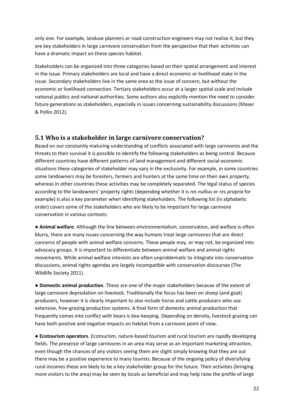only one. For example, landuse planners or road construction engineers may not realize it, but they are key stakeholders in large carnivore conservation from the perspective that their activities can have a dramatic impact on these species habitat.

Stakeholders can be organized into three categories based on their spatial arrangement and interest in the issue. Primary stakeholders are local and have a direct economic or livelihood stake in the issue. Secondary stakeholders live in the same area as the issue of concern, but without the economic or livelihood connection. Tertiary stakeholders occur at a larger spatial scale and include national publics and national authorities. Some authors also explicitly mention the need to consider future generations as stakeholders, especially in issues concerning sustainability discussions (Maser & Pollio 2012).

### <span id="page-21-0"></span>**5.1 Who is a stakeholder in large carnivore conservation?**

Based on our constantly maturing understanding of conflicts associated with large carnivores and the threats to their survival it is possible to identify the following stakeholders as being central. Because different countries have different patterns of land management and different social-economic situations these categories of stakeholder may vary in the exclusivity. For example, in some countries some landowners may be foresters, farmers and hunters at the same time on their own property, whereas in other countries these activities may be completely separated. The legal status of species according to the landowners' property rights (depending whether it is *res nullius* or *res propria* for example) is also a key parameter when identifying stakeholders. The following list (in alphabetic order) covers some of the stakeholders who are likely to be important for large carnivore conservation in various contexts:

**● Animal welfare**. Although the line between environmentalism, conservation, and welfare is often blurry, there are many issues concerning the way humans treat large carnivores that are direct concerns of people with animal welfare concerns. These people may, or may not, be organized into advocacy groups. It is important to differentiate between animal welfare and animal rights movements. While animal welfare interests are often unproblematic to integrate into conservation discussions, animal rights agendas are largely incompatible with conservation discourses (The Wildlife Society 2011).

**● Domestic animal production**. These are one of the major stakeholders because of the extent of large carnivore depredation on livestock. Traditionally the focus has been on sheep (and goat) producers, however it is clearly important to also include horse and cattle producers who use extensive, free-grazing production systems. A final form of domestic animal production that frequently comes into conflict with bears is bee-keeping. Depending on density, livestock grazing can have both positive and negative impacts on habitat from a carnivore point of view.

**● Ecotourism operators**. Ecotourism, nature-based tourism and rural tourism are rapidly developing fields. The presence of large carnivores in an area may serve as an important marketing attraction, even though the chances of any visitors seeing them are slight simply knowing that they are out there may be a positive experience to many tourists. Because of the ongoing policy of diversifying rural incomes these are likely to be a key stakeholder group for the future. Their activities (bringing more visitors to the area) may be seen by locals as beneficial and may help raise the profile of large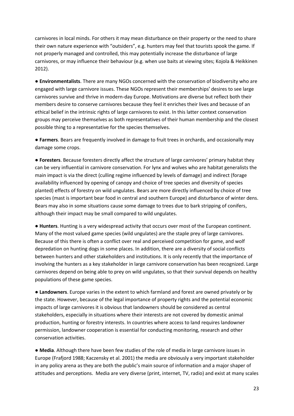carnivores in local minds. For others it may mean disturbance on their property or the need to share their own nature experience with "outsiders", e.g. hunters may feel that tourists spook the game. If not properly managed and controlled, this may potentially increase the disturbance of large carnivores, or may influence their behaviour (e.g. when use baits at viewing sites; Kojola & Heikkinen 2012).

**● Environmentalists**. There are many NGOs concerned with the conservation of biodiversity who are engaged with large carnivore issues. These NGOs represent their memberships' desires to see large carnivores survive and thrive in modern-day Europe. Motivations are diverse but reflect both their members desire to conserve carnivores because they feel it enriches their lives and because of an ethical belief in the intrinsic rights of large carnivores to exist. In this latter context conservation groups may perceive themselves as both representatives of their human membership and the closest possible thing to a representative for the species themselves.

**● Farmers**. Bears are frequently involved in damage to fruit trees in orchards, and occasionally may damage some crops.

**● Foresters**. Because foresters directly affect the structure of large carnivores' primary habitat they can be very influential in carnivore conservation. For lynx and wolves who are habitat generalists the main impact is via the direct (culling regime influenced by levels of damage) and indirect (forage availability influenced by opening of canopy and choice of tree species and diversity of species planted) effects of forestry on wild ungulates. Bears are more directly influenced by choice of tree species (mast is important bear food in central and southern Europe) and disturbance of winter dens. Bears may also in some situations cause some damage to trees due to bark stripping of conifers, although their impact may be small compared to wild ungulates.

**● Hunters**. Hunting is a very widespread activity that occurs over most of the European continent. Many of the most valued game species (wild ungulates) are the staple prey of large carnivores. Because of this there is often a conflict over real and perceived competition for game, and wolf depredation on hunting dogs in some places. In addition, there are a diversity of social conflicts between hunters and other stakeholders and institutions. It is only recently that the importance of involving the hunters as a key stakeholder in large carnivore conservation has been recognized. Large carnivores depend on being able to prey on wild ungulates, so that their survival depends on healthy populations of these game species.

**● Landowners**. Europe varies in the extent to which farmland and forest are owned privately or by the state. However, because of the legal importance of property rights and the potential economic impacts of large carnivores it is obvious that landowners should be considered as central stakeholders, especially in situations where their interests are not covered by domestic animal production, hunting or forestry interests. In countries where access to land requires landowner permission, landowner cooperation is essential for conducting monitoring, research and other conservation activities.

**● Media**. Although there have been few studies of the role of media in large carnivore issues in Europe (Frafjord 1988; Kaczensky et al. 2001) the media are obviously a very important stakeholder in any policy arena as they are both the public's main source of information and a major shaper of attitudes and perceptions. Media are very diverse (print, internet, TV, radio) and exist at many scales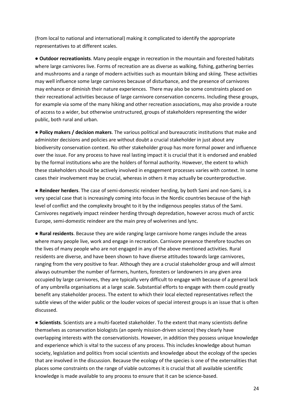(from local to national and international) making it complicated to identify the appropriate representatives to at different scales.

**● Outdoor recreationists**. Many people engage in recreation in the mountain and forested habitats where large carnivores live. Forms of recreation are as diverse as walking, fishing, gathering berries and mushrooms and a range of modern activities such as mountain biking and skiing. These activities may well influence some large carnivores because of disturbance, and the presence of carnivores may enhance or diminish their nature experiences. There may also be some constraints placed on their recreational activities because of large carnivore conservation concerns. Including these groups, for example via some of the many hiking and other recreation associations, may also provide a route of access to a wider, but otherwise unstructured, groups of stakeholders representing the wider public, both rural and urban.

**● Policy makers / decision makers**. The various political and bureaucratic institutions that make and administer decisions and policies are without doubt a crucial stakeholder in just about any biodiversity conservation context. No other stakeholder group has more formal power and influence over the issue. For any process to have real lasting impact it is crucial that it is endorsed and enabled by the formal institutions who are the holders of formal authority. However, the extent to which these stakeholders should be actively involved in engagement processes varies with context. In some cases their involvement may be crucial, whereas in others it may actually be counterproductive.

**● Reindeer herders**. The case of semi-domestic reindeer herding, by both Sami and non-Sami, is a very special case that is increasingly coming into focus in the Nordic countries because of the high level of conflict and the complexity brought to it by the indigenous peoples status of the Sami. Carnivores negatively impact reindeer herding through depredation, however across much of arctic Europe, semi-domestic reindeer are the main prey of wolverines and lync.

**● Rural residents**. Because they are wide ranging large carnivore home ranges include the areas where many people live, work and engage in recreation. Carnivore presence therefore touches on the lives of many people who are not engaged in any of the above mentioned activities. Rural residents are diverse, and have been shown to have diverse attitudes towards large carnivores, ranging from the very positive to fear. Although they are a crucial stakeholder group and will almost always outnumber the number of farmers, hunters, foresters or landowners in any given area occupied by large carnivores, they are typically very difficult to engage with because of a general lack of any umbrella organisations at a large scale. Substantial efforts to engage with them could greatly benefit any stakeholder process. The extent to which their local elected representatives reflect the subtle views of the wider public or the louder voices of special interest groups is an issue that is often discussed.

**● Scientists**. Scientists are a multi-faceted stakeholder. To the extent that many scientists define themselves as conservation biologists (an openly mission-driven science) they clearly have overlapping interests with the conservationists. However, in addition they possess unique knowledge and experience which is vital to the success of any process. This includes knowledge about human society, legislation and politics from social scientists and knowledge about the ecology of the species that are involved in the discussion. Because the ecology of the species is one of the externalities that places some constraints on the range of viable outcomes it is crucial that all available scientific knowledge is made available to any process to ensure that it can be science-based.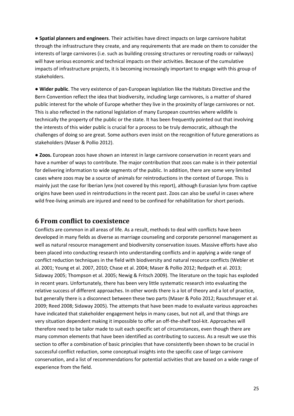**● Spatial planners and engineers**. Their activities have direct impacts on large carnivore habitat through the infrastructure they create, and any requirements that are made on them to consider the interests of large carnivores (i.e. such as building crossing structures or rerouting roads or railways) will have serious economic and technical impacts on their activities. Because of the cumulative impacts of infrastructure projects, it is becoming increasingly important to engage with this group of stakeholders.

**● Wider public**. The very existence of pan-European legislation like the Habitats Directive and the Bern Convention reflect the idea that biodiversity, including large carnivores, is a matter of shared public interest for the whole of Europe whether they live in the proximity of large carnivores or not. This is also reflected in the national legislation of many European countries where wildlife is technically the property of the public or the state. It has been frequently pointed out that involving the interests of this wider public is crucial for a process to be truly democratic, although the challenges of doing so are great. Some authors even insist on the recognition of future generations as stakeholders (Maser & Pollio 2012).

**● Zoos.** European zoos have shown an interest in large carnivore conservation in recent years and have a number of ways to contribute. The major contribution that zoos can make is in their potential for delivering information to wide segments of the public. In addition, there are some very limited cases where zoos may be a source of animals for reintroductions in the context of Europe. This is mainly just the case for Iberian lynx (not covered by this report), although Eurasian lynx from captive origins have been used in reintroductions in the recent past. Zoos can also be useful in cases where wild free-living animals are injured and need to be confined for rehabilitation for short periods.

### <span id="page-24-0"></span>**6 From conflict to coexistence**

Conflicts are common in all areas of life. As a result, methods to deal with conflicts have been developed in many fields as diverse as marriage counseling and corporate personnel management as well as natural resource management and biodiversity conservation issues. Massive efforts have also been placed into conducting research into understanding conflicts and in applying a wide range of conflict reduction techniques in the field with biodiversity and natural resource conflicts (Webler et al. 2001; Young et al. 2007, 2010; Chase et al. 2004; Maser & Pollio 2012; Redpath et al. 2013; Sidaway 2005; Thompson et al. 2005; Newig & Fritsch 2009). The literature on the topic has exploded in recent years. Unfortunately, there has been very little systematic research into evaluating the relative success of different approaches. In other words there is a lot of theory and a lot of practice, but generally there is a disconnect between these two parts (Maser & Polio 2012; Rauschmayer et al. 2009; Reed 2008; Sidaway 2005). The attempts that have been made to evaluate various approaches have indicated that stakeholder engagement helps in many cases, but not all, and that things are very situation dependent making it impossible to offer an off-the-shelf tool-kit. Approaches will therefore need to be tailor made to suit each specific set of circumstances, even though there are many common elements that have been identified as contributing to success. As a result we use this section to offer a combination of basic principles that have consistently been shown to be crucial in successful conflict reduction, some conceptual insights into the specific case of large carnivore conservation, and a list of recommendations for potential activities that are based on a wide range of experience from the field.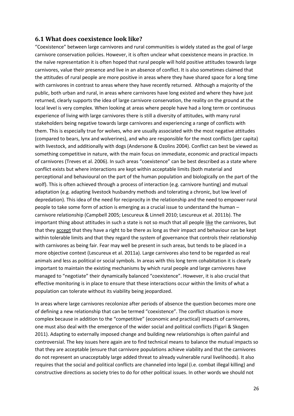#### <span id="page-25-0"></span>**6.1 What does coexistence look like?**

"Coexistence" between large carnivores and rural communities is widely stated as the goal of large carnivore conservation policies. However, it is often unclear what coexistence means in practice. In the naïve representation it is often hoped that rural people will hold positive attitudes towards large carnivores, value their presence and live in an absence of conflict. It is also sometimes claimed that the attitudes of rural people are more positive in areas where they have shared space for a long time with carnivores in contrast to areas where they have recently returned. Although a majority of the public, both urban and rural, in areas where carnivores have long existed and where they have just returned, clearly supports the idea of large carnivore conservation, the reality on the ground at the local level is very complex. When looking at areas where people have had a long term or continuous experience of living with large carnivores there is still a diversity of attitudes, with many rural stakeholders being negative towards large carnivores and experiencing a range of conflicts with them. This is especially true for wolves, who are usually associated with the most negative attitudes (compared to bears, lynx and wolverines), and who are responsible for the most conflicts (per capita) with livestock, and additionally with dogs (Andersone & Ozolins 2004). Conflict can best be viewed as something competitive in nature, with the main focus on immediate, economic and practical impacts of carnivores (Treves et al. 2006). In such areas "coexistence" can be best described as a state where conflict exists but where interactions are kept within acceptable limits (both material and perceptional and behavioural on the part of the human population and biologically on the part of the wolf). This is often achieved through a process of interaction (e.g. carnivore hunting) and mutual adaptation (e.g. adapting livestock husbandry methods and tolerating a chronic, but low level of depredation). This idea of the need for reciprocity in the relationship and the need to empower rural people to take some form of action is emerging as a crucial issue to understand the human – carnivore relationship (Campbell 2005; Lescureux & Linnell 2010; Lescureux et al. 2011b). The important thing about attitudes in such a state is not so much that all people like the carnivores, but that they accept that they have a right to be there as long as their impact and behaviour can be kept within tolerable limits and that they regard the system of governance that controls their relationship with carnivores as being fair. Fear may well be present in such areas, but tends to be placed in a more objective context (Lescureux et al. 2011a). Large carnivores also tend to be regarded as real animals and less as political or social symbols. In areas with this long term cohabitation it is clearly important to maintain the existing mechanisms by which rural people and large carnivores have managed to "negotiate" their dynamically balanced "coexistence". However, it is also crucial that effective monitoring is in place to ensure that these interactions occur within the limits of what a population can tolerate without its viability being jeopardized.

In areas where large carnivores recolonize after periods of absence the question becomes more one of defining a new relationship that can be termed "coexistence". The conflict situation is more complex because in addition to the "competitive" (economic and practical) impacts of carnivores, one must also deal with the emergence of the wider social and political conflicts (Figari & Skogen 2011). Adapting to externally imposed change and building new relationships is often painful and controversial. The key issues here again are to find technical means to balance the mutual impacts so that they are acceptable (ensure that carnivore populations achieve viability and that the carnivores do not represent an unacceptably large added threat to already vulnerable rural livelihoods). It also requires that the social and political conflicts are channeled into legal (i.e. combat illegal killing) and constructive directions as society tries to do for other political issues. In other words we should not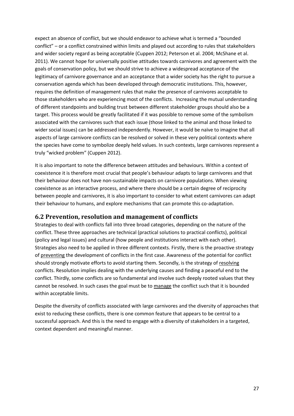expect an absence of conflict, but we should endeavor to achieve what is termed a "bounded conflict" – or a conflict constrained within limits and played out according to rules that stakeholders and wider society regard as being acceptable (Cuppen 2012; Peterson et al. 2004; McShane et al. 2011). We cannot hope for universally positive attitudes towards carnivores and agreement with the goals of conservation policy, but we should strive to achieve a widespread acceptance of the legitimacy of carnivore governance and an acceptance that a wider society has the right to pursue a conservation agenda which has been developed through democratic institutions. This, however, requires the definition of management rules that make the presence of carnivores acceptable to those stakeholders who are experiencing most of the conflicts. Increasing the mutual understanding of different standpoints and building trust between different stakeholder groups should also be a target. This process would be greatly facilitated if it was possible to remove some of the symbolism associated with the carnivores such that each issue (those linked to the animal and those linked to wider social issues) can be addressed independently. However, it would be naïve to imagine that all aspects of large carnivore conflicts can be resolved or solved in these very political contexts where the species have come to symbolize deeply held values. In such contexts, large carnivores represent a truly "wicked problem" (Cuppen 2012).

It is also important to note the difference between attitudes and behaviours. Within a context of coexistence it is therefore most crucial that people's behaviour adapts to large carnivores and that their behaviour does not have non-sustainable impacts on carnivore populations. When viewing coexistence as an interactive process, and where there should be a certain degree of reciprocity between people and carnivores, it is also important to consider to what extent carnivores can adapt their behaviour to humans, and explore mechanisms that can promote this co-adaptation.

#### <span id="page-26-0"></span>**6.2 Prevention, resolution and management of conflicts**

Strategies to deal with conflicts fall into three broad categories, depending on the nature of the conflict. These three approaches are technical (practical solutions to practical conflicts), political (policy and legal issues) and cultural (how people and institutions interact with each other). Strategies also need to be applied in three different contexts. Firstly, there is the proactive strategy of preventing the development of conflicts in the first case. Awareness of the potential for conflict should strongly motivate efforts to avoid starting them. Secondly, is the strategy of resolving conflicts. Resolution implies dealing with the underlying causes and finding a peaceful end to the conflict. Thirdly, some conflicts are so fundamental and involve such deeply rooted values that they cannot be resolved. In such cases the goal must be to manage the conflict such that it is bounded within acceptable limits.

Despite the diversity of conflicts associated with large carnivores and the diversity of approaches that exist to reducing these conflicts, there is one common feature that appears to be central to a successful approach. And this is the need to engage with a diversity of stakeholders in a targeted, context dependent and meaningful manner.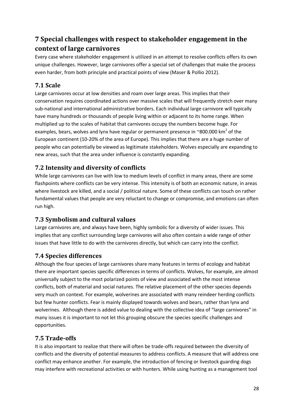# <span id="page-27-0"></span>**7 Special challenges with respect to stakeholder engagement in the context of large carnivores**

Every case where stakeholder engagement is utilized in an attempt to resolve conflicts offers its own unique challenges. However, large carnivores offer a special set of challenges that make the process even harder, from both principle and practical points of view (Maser & Pollio 2012).

## <span id="page-27-1"></span>**7.1 Scale**

Large carnivores occur at low densities and roam over large areas. This implies that their conservation requires coordinated actions over massive scales that will frequently stretch over many sub-national and international administrative borders. Each individual large carnivore will typically have many hundreds or thousands of people living within or adjacent to its home range. When multiplied up to the scales of habitat that carnivores occupy the numbers become huge. For examples, bears, wolves and lynx have regular or permanent presence in ~800.000 km<sup>2</sup> of the European continent (10-20% of the area of Europe). This implies that there are a huge number of people who can potentially be viewed as legitimate stakeholders. Wolves especially are expanding to new areas, such that the area under influence is constantly expanding.

## <span id="page-27-2"></span>**7.2 Intensity and diversity of conflicts**

While large carnivores can live with low to medium levels of conflict in many areas, there are some flashpoints where conflicts can be very intense. This intensity is of both an economic nature, in areas where livestock are killed, and a social / political nature. Some of these conflicts can touch on rather fundamental values that people are very reluctant to change or compromise, and emotions can often run high.

## <span id="page-27-3"></span>**7.3 Symbolism and cultural values**

Large carnivores are, and always have been, highly symbolic for a diversity of wider issues. This implies that any conflict surrounding large carnivores will also often contain a wide range of other issues that have little to do with the carnivores directly, but which can carry into the conflict.

## <span id="page-27-4"></span>**7.4 Species differences**

Although the four species of large carnivores share many features in terms of ecology and habitat there are important species specific differences in terms of conflicts. Wolves, for example, are almost universally subject to the most polarized points of view and associated with the most intense conflicts, both of material and social natures. The relative placement of the other species depends very much on context. For example, wolverines are associated with many reindeer herding conflicts but few hunter conflicts. Fear is mainly displayed towards wolves and bears, rather than lynx and wolverines. Although there is added value to dealing with the collective idea of "large carnivores" in many issues it is important to not let this grouping obscure the species specific challenges and opportunities.

## <span id="page-27-5"></span>**7.5 Trade-offs**

It is also important to realize that there will often be trade-offs required between the diversity of conflicts and the diversity of potential measures to address conflicts. A measure that will address one conflict may enhance another. For example, the introduction of fencing or livestock guarding dogs may interfere with recreational activities or with hunters. While using hunting as a management tool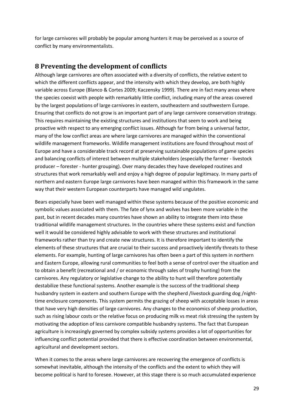for large carnivores will probably be popular among hunters it may be perceived as a source of conflict by many environmentalists.

## <span id="page-28-0"></span>**8 Preventing the development of conflicts**

Although large carnivores are often associated with a diversity of conflicts, the relative extent to which the different conflicts appear, and the intensity with which they develop, are both highly variable across Europe (Blanco & Cortes 2009; Kaczensky 1999). There are in fact many areas where the species coexist with people with remarkably little conflict, including many of the areas covered by the largest populations of large carnivores in eastern, southeastern and southwestern Europe. Ensuring that conflicts do not grow is an important part of any large carnivore conservation strategy. This requires maintaining the existing structures and institutions that seem to work and being proactive with respect to any emerging conflict issues. Although far from being a universal factor, many of the low conflict areas are where large carnivores are managed within the conventional wildlife management frameworks. Wildlife management institutions are found throughout most of Europe and have a considerable track record at preserving sustainable populations of game species and balancing conflicts of interest between multiple stakeholders (especially the farmer - livestock producer – forester - hunter grouping). Over many decades they have developed routines and structures that work remarkably well and enjoy a high degree of popular legitimacy. In many parts of northern and eastern Europe large carnivores have been managed within this framework in the same way that their western European counterparts have managed wild ungulates.

Bears especially have been well managed within these systems because of the positive economic and symbolic values associated with them. The fate of lynx and wolves has been more variable in the past, but in recent decades many countries have shown an ability to integrate them into these traditional wildlife management structures. In the countries where these systems exist and function well it would be considered highly advisable to work with these structures and institutional frameworks rather than try and create new structures. It is therefore important to identify the elements of these structures that are crucial to their success and proactively identify threats to these elements. For example, hunting of large carnivores has often been a part of this system in northern and Eastern Europe, allowing rural communities to feel both a sense of control over the situation and to obtain a benefit (recreational and / or economic through sales of trophy hunting) from the carnivores. Any regulatory or legislative change to the ability to hunt will therefore potentially destabilize these functional systems. Another example is the success of the traditional sheep husbandry system in eastern and southern Europe with the shepherd /livestock guarding dog /nighttime enclosure components. This system permits the grazing of sheep with acceptable losses in areas that have very high densities of large carnivores. Any changes to the economics of sheep production, such as rising labour costs or the relative focus on producing milk vs meat risk stressing the system by motivating the adoption of less carnivore compatible husbandry systems. The fact that European agriculture is increasingly governed by complex subsidy systems provides a lot of opportunities for influencing conflict potential provided that there is effective coordination between environmental, agricultural and development sectors.

When it comes to the areas where large carnivores are recovering the emergence of conflicts is somewhat inevitable, although the intensity of the conflicts and the extent to which they will become political is hard to foresee. However, at this stage there is so much accumulated experience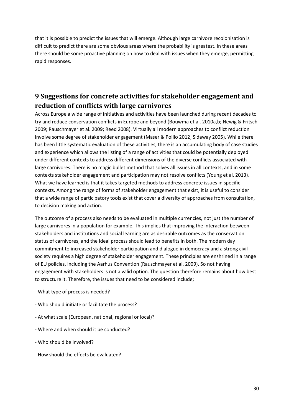that it is possible to predict the issues that will emerge. Although large carnivore recolonisation is difficult to predict there are some obvious areas where the probability is greatest. In these areas there should be some proactive planning on how to deal with issues when they emerge, permitting rapid responses.

# <span id="page-29-0"></span>**9 Suggestions for concrete activities for stakeholder engagement and reduction of conflicts with large carnivores**

Across Europe a wide range of initiatives and activities have been launched during recent decades to try and reduce conservation conflicts in Europe and beyond (Bouwma et al. 2010a,b; Newig & Fritsch 2009; Rauschmayer et al. 2009; Reed 2008). Virtually all modern approaches to conflict reduction involve some degree of stakeholder engagement (Maser & Pollio 2012; Sidaway 2005). While there has been little systematic evaluation of these activities, there is an accumulating body of case studies and experience which allows the listing of a range of activities that could be potentially deployed under different contexts to address different dimensions of the diverse conflicts associated with large carnivores. There is no magic bullet method that solves all issues in all contexts, and in some contexts stakeholder engagement and participation may not resolve conflicts (Young et al. 2013). What we have learned is that it takes targeted methods to address concrete issues in specific contexts. Among the range of forms of stakeholder engagement that exist, it is useful to consider that a wide range of participatory tools exist that cover a diversity of approaches from consultation, to decision making and action.

The outcome of a process also needs to be evaluated in multiple currencies, not just the number of large carnivores in a population for example. This implies that improving the interaction between stakeholders and institutions and social learning are as desirable outcomes as the conservation status of carnivores, and the ideal process should lead to benefits in both. The modern day commitment to increased stakeholder participation and dialogue in democracy and a strong civil society requires a high degree of stakeholder engagement. These principles are enshrined in a range of EU policies, including the Aarhus Convention (Rauschmayer et al. 2009). So not having engagement with stakeholders is not a valid option. The question therefore remains about how best to structure it. Therefore, the issues that need to be considered include;

- What type of process is needed?
- Who should initiate or facilitate the process?
- At what scale (European, national, regional or local)?
- Where and when should it be conducted?
- Who should be involved?
- How should the effects be evaluated?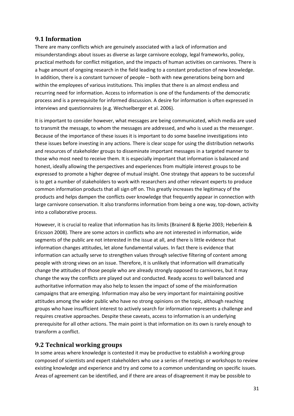### <span id="page-30-0"></span>**9.1 Information**

There are many conflicts which are genuinely associated with a lack of information and misunderstandings about issues as diverse as large carnivore ecology, legal frameworks, policy, practical methods for conflict mitigation, and the impacts of human activities on carnivores. There is a huge amount of ongoing research in the field leading to a constant production of new knowledge. In addition, there is a constant turnover of people – both with new generations being born and within the employees of various institutions. This implies that there is an almost endless and recurring need for information. Access to information is one of the fundaments of the democratic process and is a prerequisite for informed discussion. A desire for information is often expressed in interviews and questionnaires (e.g. Wechselberger et al. 2006).

It is important to consider however, what messages are being communicated, which media are used to transmit the message, to whom the messages are addressed, and who is used as the messenger. Because of the importance of these issues it is important to do some baseline investigations into these issues before investing in any actions. There is clear scope for using the distribution networks and resources of stakeholder groups to disseminate important messages in a targeted manner to those who most need to receive them. It is especially important that information is balanced and honest, ideally allowing the perspectives and experiences from multiple interest groups to be expressed to promote a higher degree of mutual insight. One strategy that appears to be successful is to get a number of stakeholders to work with researchers and other relevant experts to produce common information products that all sign off on. This greatly increases the legitimacy of the products and helps dampen the conflicts over knowledge that frequently appear in connection with large carnivore conservation. It also transforms information from being a one way, top-down, activity into a collaborative process.

However, it is crucial to realize that information has its limits (Brainerd & Bjerke 2003; Heberlein & Ericsson 2008). There are some actors in conflicts who are not interested in information, wide segments of the public are not interested in the issue at all, and there is little evidence that information changes attitudes, let alone fundamental values. In fact there is evidence that information can actually serve to strengthen values through selective filtering of content among people with strong views on an issue. Therefore, it is unlikely that information will dramatically change the attitudes of those people who are already strongly opposed to carnivores, but it may change the way the conflicts are played out and conducted. Ready access to well balanced and authoritative information may also help to lessen the impact of some of the misinformation campaigns that are emerging. Information may also be very important for maintaining positive attitudes among the wider public who have no strong opinions on the topic, although reaching groups who have insufficient interest to actively search for information represents a challenge and requires creative approaches. Despite these caveats, access to information is an underlying prerequisite for all other actions. The main point is that information on its own is rarely enough to transform a conflict.

### <span id="page-30-1"></span>**9.2 Technical working groups**

In some areas where knowledge is contested it may be productive to establish a working group composed of scientists and expert stakeholders who use a series of meetings or workshops to review existing knowledge and experience and try and come to a common understanding on specific issues. Areas of agreement can be identified, and if there are areas of disagreement it may be possible to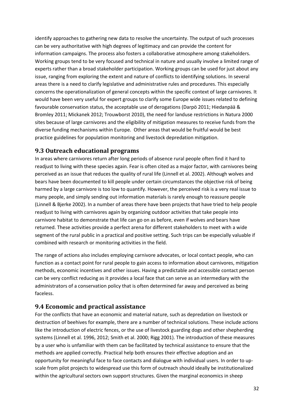identify approaches to gathering new data to resolve the uncertainty. The output of such processes can be very authoritative with high degrees of legitimacy and can provide the content for information campaigns. The process also fosters a collaborative atmosphere among stakeholders. Working groups tend to be very focused and technical in nature and usually involve a limited range of experts rather than a broad stakeholder participation. Working groups can be used for just about any issue, ranging from exploring the extent and nature of conflicts to identifying solutions. In several areas there is a need to clarify legislative and administrative rules and procedures. This especially concerns the operationalization of general concepts within the specific context of large carnivores. It would have been very useful for expert groups to clarify some Europe wide issues related to defining favourable conservation status, the acceptable use of derogations (Darpö 2011; Hiedanpää & Bromley 2011; Mickanek 2012; Trouwborst 2010), the need for landuse restrictions in Natura 2000 sites because of large carnivores and the eligibility of mitigation measures to receive funds from the diverse funding mechanisms within Europe. Other areas that would be fruitful would be best practice guidelines for population monitoring and livestock depredation mitigation.

## <span id="page-31-0"></span>**9.3 Outreach educational programs**

In areas where carnivores return after long periods of absence rural people often find it hard to readjust to living with these species again. Fear is often cited as a major factor, with carnivores being perceived as an issue that reduces the quality of rural life (Linnell et al. 2002). Although wolves and bears have been documented to kill people under certain circumstances the objective risk of being harmed by a large carnivore is too low to quantify. However, the perceived risk is a very real issue to many people, and simply sending out information materials is rarely enough to reassure people (Linnell & Bjerke 2002). In a number of areas there have been projects that have tried to help people readjust to living with carnivores again by organizing outdoor activities that take people into carnivore habitat to demonstrate that life can go on as before, even if wolves and bears have returned. These activities provide a perfect arena for different stakeholders to meet with a wide segment of the rural public in a practical and positive setting. Such trips can be especially valuable if combined with research or monitoring activities in the field.

The range of actions also includes employing carnivore advocates, or local contact people, who can function as a contact point for rural people to gain access to information about carnivores, mitigation methods, economic incentives and other issues. Having a predictable and accessible contact person can be very conflict reducing as it provides a local face that can serve as an intermediary with the administrators of a conservation policy that is often determined far away and perceived as being faceless.

## <span id="page-31-1"></span>**9.4 Economic and practical assistance**

For the conflicts that have an economic and material nature, such as depredation on livestock or destruction of beehives for example, there are a number of technical solutions. These include actions like the introduction of electric fences, or the use of livestock guarding dogs and other shepherding systems (Linnell et al. 1996, 2012; Smith et al. 2000; Rigg 2001). The introduction of these measures by a user who is unfamiliar with them can be facilitated by technical assistance to ensure that the methods are applied correctly. Practical help both ensures their effective adoption and an opportunity for meaningful face to face contacts and dialogue with individual users. In order to upscale from pilot projects to widespread use this form of outreach should ideally be institutionalized within the agricultural sectors own support structures. Given the marginal economics in sheep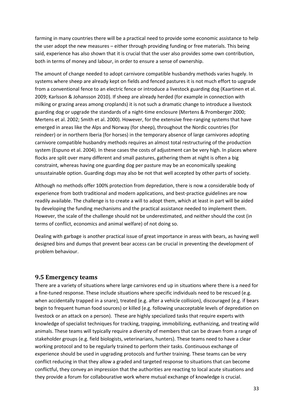farming in many countries there will be a practical need to provide some economic assistance to help the user adopt the new measures – either through providing funding or free materials. This being said, experience has also shown that it is crucial that the user also provides some own contribution, both in terms of money and labour, in order to ensure a sense of ownership.

The amount of change needed to adopt carnivore compatible husbandry methods varies hugely. In systems where sheep are already kept on fields and fenced pastures it is not much effort to upgrade from a conventional fence to an electric fence or introduce a livestock guarding dog (Kaartinen et al. 2009; Karlsson & Johansson 2010). If sheep are already herded (for example in connection with milking or grazing areas among croplands) it is not such a dramatic change to introduce a livestock guarding dog or upgrade the standards of a night-time enclosure (Mertens & Promberger 2000; Mertens et al. 2002; Smith et al. 2000). However, for the extensive free-ranging systems that have emerged in areas like the Alps and Norway (for sheep), throughout the Nordic countries (for reindeer) or in northern Iberia (for horses) in the temporary absence of large carnivores adopting carnivore compatible husbandry methods requires an almost total restructuring of the production system (Espuno et al. 2004). In these cases the costs of adjustment can be very high. In places where flocks are split over many different and small pastures, gathering them at night is often a big constraint, whereas having one guarding dog per pasture may be an economically speaking unsustainable option. Guarding dogs may also be not that well accepted by other parts of society.

Although no methods offer 100% protection from depredation, there is now a considerable body of experience from both traditional and modern applications, and best-practice guidelines are now readily available. The challenge is to create a will to adopt them, which at least in part will be aided by developing the funding mechanisms and the practical assistance needed to implement them. However, the scale of the challenge should not be underestimated, and neither should the cost (in terms of conflict, economics and animal welfare) of not doing so.

Dealing with garbage is another practical issue of great importance in areas with bears, as having well designed bins and dumps that prevent bear access can be crucial in preventing the development of problem behaviour.

#### <span id="page-32-0"></span>**9.5 Emergency teams**

There are a variety of situations where large carnivores end up in situations where there is a need for a fine-tuned response. These include situations where specific individuals need to be rescued (e.g. when accidentally trapped in a snare), treated (e.g. after a vehicle collision), discouraged (e.g. if bears begin to frequent human food sources) or killed (e.g. following unacceptable levels of depredation on livestock or an attack on a person). These are highly specialized tasks that require experts with knowledge of specialist techniques for tracking, trapping, immobilizing, euthanizing, and treating wild animals. These teams will typically require a diversity of members that can be drawn from a range of stakeholder groups (e.g. field biologists, veterinarians, hunters). These teams need to have a clear working protocol and to be regularly trained to perform their tasks. Continuous exchange of experience should be used in upgrading protocols and further training. These teams can be very conflict reducing in that they allow a graded and targeted response to situations that can become conflictful, they convey an impression that the authorities are reacting to local acute situations and they provide a forum for collabourative work where mutual exchange of knowledge is crucial.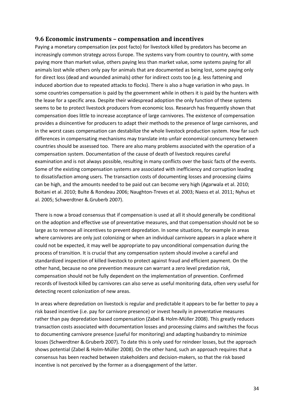#### <span id="page-33-0"></span>**9.6 Economic instruments – compensation and incentives**

Paying a monetary compensation (ex post facto) for livestock killed by predators has become an increasingly common strategy across Europe. The systems vary from country to country, with some paying more than market value, others paying less than market value, some systems paying for all animals lost while others only pay for animals that are documented as being lost, some paying only for direct loss (dead and wounded animals) other for indirect costs too (e.g. less fattening and induced abortion due to repeated attacks to flocks). There is also a huge variation in who pays. In some countries compensation is paid by the government while in others it is paid by the hunters with the lease for a specific area. Despite their widespread adoption the only function of these systems seems to be to protect livestock producers from economic loss. Research has frequently shown that compensation does little to increase acceptance of large carnivores. The existence of compensation provides a disincentive for producers to adapt their methods to the presence of large carnivores, and in the worst cases compensation can destabilize the whole livestock production system. How far such differences in compensating mechanisms may translate into unfair economical concurrency between countries should be assessed too. There are also many problems associated with the operation of a compensation system. Documentation of the cause of death of livestock requires careful examination and is not always possible, resulting in many conflicts over the basic facts of the events. Some of the existing compensation systems are associated with inefficiency and corruption leading to dissatisfaction among users. The transaction costs of documenting losses and processing claims can be high, and the amounts needed to be paid out can become very high (Agarwala et al. 2010; Boitani et al. 2010; Bulte & Rondeau 2006; Naughton-Treves et al. 2003; Naess et al. 2011; Nyhus et al. 2005; Schwerdtner &.Gruberb 2007).

There is now a broad consensus that if compensation is used at all it should generally be conditional on the adoption and effective use of preventative measures, and that compensation should not be so large as to remove all incentives to prevent depredation. In some situations, for example in areas where carnivores are only just colonizing or when an individual carnivore appears in a place where it could not be expected, it may well be appropriate to pay unconditional compensation during the process of transition. It is crucial that any compensation system should involve a careful and standardized inspection of killed livestock to protect against fraud and efficient payment. On the other hand, because no one prevention measure can warrant a zero level predation risk, compensation should not be fully dependent on the implementation of prevention. Confirmed records of livestock killed by carnivores can also serve as useful monitoring data, often very useful for detecting recent colonization of new areas.

In areas where depredation on livestock is regular and predictable it appears to be far better to pay a risk based incentive (i.e. pay for carnivore presence) or invest heavily in preventative measures rather than pay depredation based compensation (Zabel & Holm-Müller 2008). This greatly reduces transaction costs associated with documentation losses and processing claims and switches the focus to documenting carnivore presence (useful for monitoring) and adapting husbandry to minimize losses (Schwerdtner &.Gruberb 2007). To date this is only used for reindeer losses, but the approach shows potential (Zabel & Holm-Müller 2008). On the other hand, such an approach requires that a consensus has been reached between stakeholders and decision-makers, so that the risk based incentive is not perceived by the former as a disengagement of the latter.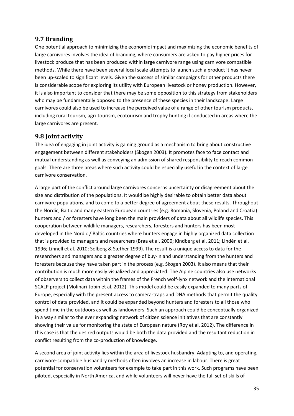## <span id="page-34-0"></span>**9.7 Branding**

One potential approach to minimizing the economic impact and maximizing the economic benefits of large carnivores involves the idea of branding, where consumers are asked to pay higher prices for livestock produce that has been produced within large carnivore range using carnivore compatible methods. While there have been several local scale attempts to launch such a product it has never been up-scaled to significant levels. Given the success of similar campaigns for other products there is considerable scope for exploring its utility with European livestock or honey production. However, it is also important to consider that there may be some opposition to this strategy from stakeholders who may be fundamentally opposed to the presence of these species in their landscape. Large carnivores could also be used to increase the perceived value of a range of other tourism products, including rural tourism, agri-tourism, ecotourism and trophy hunting if conducted in areas where the large carnivores are present.

## <span id="page-34-1"></span>**9.8 Joint activity**

The idea of engaging in joint activity is gaining ground as a mechanism to bring about constructive engagement between different stakeholders (Skogen 2003). It promotes face to face contact and mutual understanding as well as conveying an admission of shared responsibility to reach common goals. There are three areas where such activity could be especially useful in the context of large carnivore conservation.

A large part of the conflict around large carnivores concerns uncertainty or disagreement about the size and distribution of the populations. It would be highly desirable to obtain better data about carnivore populations, and to come to a better degree of agreement about these results. Throughout the Nordic, Baltic and many eastern European countries (e.g. Romania, Slovenia, Poland and Croatia) hunters and / or foresters have long been the main providers of data about all wildlife species. This cooperation between wildlife managers, researchers, foresters and hunters has been most developed in the Nordic / Baltic countries where hunters engage in highly organized data collection that is provided to managers and researchers (Braa et al. 2000; Kindberg et al. 2011; Lindén et al. 1996; Linnell et al. 2010; Solberg & Sæther 1999). The result is a unique access to data for the researchers and managers and a greater degree of buy-in and understanding from the hunters and foresters because they have taken part in the process (e.g. Skogen 2003). It also means that their contribution is much more easily visualized and appreciated. The Alpine countries also use networks of observers to collect data within the frames of the French wolf-lynx network and the international SCALP project (Molinari-Jobin et al. 2012). This model could be easily expanded to many parts of Europe, especially with the present access to camera-traps and DNA methods that permit the quality control of data provided, and it could be expanded beyond hunters and foresters to all those who spend time in the outdoors as well as landowners. Such an approach could be conceptually organized in a way similar to the ever expanding network of citizen science initiatives that are constantly showing their value for monitoring the state of European nature (Roy et al. 2012). The difference in this case is that the desired outputs would be both the data provided and the resultant reduction in conflict resulting from the co-production of knowledge.

A second area of joint activity lies within the area of livestock husbandry. Adapting to, and operating, carnivore-compatible husbandry methods often involves an increase in labour. There is great potential for conservation volunteers for example to take part in this work. Such programs have been piloted, especially in North America, and while volunteers will never have the full set of skills of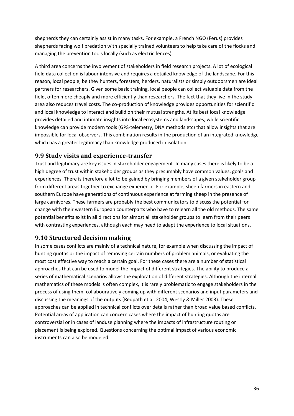shepherds they can certainly assist in many tasks. For example, a French NGO (Ferus) provides shepherds facing wolf predation with specially trained volunteers to help take care of the flocks and managing the prevention tools locally (such as electric fences).

A third area concerns the involvement of stakeholders in field research projects. A lot of ecological field data collection is labour intensive and requires a detailed knowledge of the landscape. For this reason, local people, be they hunters, foresters, herders, naturalists or simply outdoorsmen are ideal partners for researchers. Given some basic training, local people can collect valuable data from the field, often more cheaply and more efficiently than researchers. The fact that they live in the study area also reduces travel costs. The co-production of knowledge provides opportunities for scientific and local knowledge to interact and build on their mutual strengths. At its best local knowledge provides detailed and intimate insights into local ecosystems and landscapes, while scientific knowledge can provide modern tools (GPS-telemetry, DNA methods etc) that allow insights that are impossible for local observers. This combination results in the production of an integrated knowledge which has a greater legitimacy than knowledge produced in isolation.

### <span id="page-35-0"></span>**9.9 Study visits and experience-transfer**

Trust and legitimacy are key issues in stakeholder engagement. In many cases there is likely to be a high degree of trust within stakeholder groups as they presumably have common values, goals and experiences. There is therefore a lot to be gained by bringing members of a given stakeholder group from different areas together to exchange experience. For example, sheep farmers in eastern and southern Europe have generations of continuous experience at farming sheep in the presence of large carnivores. These farmers are probably the best communicators to discuss the potential for change with their western European counterparts who have to relearn all the old methods. The same potential benefits exist in all directions for almost all stakeholder groups to learn from their peers with contrasting experiences, although each may need to adapt the experience to local situations.

## <span id="page-35-1"></span>**9.10 Structured decision making**

In some cases conflicts are mainly of a technical nature, for example when discussing the impact of hunting quotas or the impact of removing certain numbers of problem animals, or evaluating the most cost effective way to reach a certain goal. For these cases there are a number of statistical approaches that can be used to model the impact of different strategies. The ability to produce a series of mathematical scenarios allows the exploration of different strategies. Although the internal mathematics of these models is often complex, it is rarely problematic to engage stakeholders in the process of using them, collabouratively coming up with different scenarios and input parameters and discussing the meanings of the outputs (Redpath et al. 2004; Westly & Miller 2003). These approaches can be applied in technical conflicts over details rather than broad value based conflicts. Potential areas of application can concern cases where the impact of hunting quotas are controversial or in cases of landuse planning where the impacts of infrastructure routing or placement is being explored. Questions concerning the optimal impact of various economic instruments can also be modeled.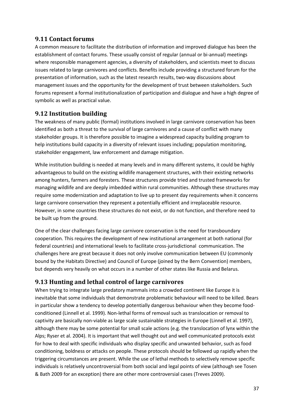### <span id="page-36-0"></span>**9.11 Contact forums**

A common measure to facilitate the distribution of information and improved dialogue has been the establishment of contact forums. These usually consist of regular (annual or bi-annual) meetings where responsible management agencies, a diversity of stakeholders, and scientists meet to discuss issues related to large carnivores and conflicts. Benefits include providing a structured forum for the presentation of information, such as the latest research results, two-way discussions about management issues and the opportunity for the development of trust between stakeholders. Such forums represent a formal institutionalization of participation and dialogue and have a high degree of symbolic as well as practical value.

## <span id="page-36-1"></span>**9.12 Institution building**

The weakness of many public (formal) institutions involved in large carnivore conservation has been identified as both a threat to the survival of large carnivores and a cause of conflict with many stakeholder groups. It is therefore possible to imagine a widespread capacity building program to help institutions build capacity in a diversity of relevant issues including; population monitoring, stakeholder engagement, law enforcement and damage mitigation.

While institution building is needed at many levels and in many different systems, it could be highly advantageous to build on the existing wildlife management structures, with their existing networks among hunters, farmers and foresters. These structures provide tried and trusted frameworks for managing wildlife and are deeply imbedded within rural communities. Although these structures may require some modernization and adaptation to live up to present day requirements when it concerns large carnivore conservation they represent a potentially efficient and irreplaceable resource. However, in some countries these structures do not exist, or do not function, and therefore need to be built up from the ground.

One of the clear challenges facing large carnivore conservation is the need for transboundary cooperation. This requires the development of new institutional arrangement at both national (for federal countries) and international levels to facilitate cross-jurisdictional communication. The challenges here are great because it does not only involve communication between EU (commonly bound by the Habitats Directive) and Council of Europe (joined by the Bern Convention) members, but depends very heavily on what occurs in a number of other states like Russia and Belarus.

## <span id="page-36-2"></span>**9.13 Hunting and lethal control of large carnivores**

When trying to integrate large predatory mammals into a crowded continent like Europe it is inevitable that some individuals that demonstrate problematic behaviour will need to be killed. Bears in particular show a tendency to develop potentially dangerous behaviour when they become foodconditioned (Linnell et al. 1999). Non-lethal forms of removal such as translocation or removal to captivity are basically non-viable as large scale sustainable strategies in Europe (Linnell et al. 1997), although there may be some potential for small scale actions (e.g. the translocation of lynx within the Alps; Ryser et al. 2004). It is important that well thought out and well communicated protocols exist for how to deal with specific individuals who display specific and unwanted behavior, such as food conditioning, boldness or attacks on people. These protocols should be followed up rapidly when the triggering circumstances are present. While the use of lethal methods to selectively remove specific individuals is relatively uncontroversial from both social and legal points of view (although see Tosen & Bath 2009 for an exception) there are other more controversial cases (Treves 2009).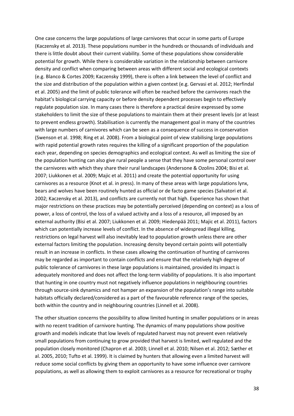One case concerns the large populations of large carnivores that occur in some parts of Europe (Kaczensky et al. 2013). These populations number in the hundreds or thousands of individuals and there is little doubt about their current viability. Some of these populations show considerable potential for growth. While there is considerable variation in the relationship between carnivore density and conflict when comparing between areas with different social and ecological contexts (e.g. Blanco & Cortes 2009; Kaczensky 1999), there is often a link between the level of conflict and the size and distribution of the population within a given context (e.g. Gervasi et al. 2012; Herfindal et al. 2005) and the limit of public tolerance will often be reached before the carnivores reach the habitat's biological carrying capacity or before density dependent processes begin to effectively regulate population size. In many cases there is therefore a practical desire expressed by some stakeholders to limit the size of these populations to maintain them at their present levels (or at least to prevent endless growth). Stabilisation is currently the management goal in many of the countries with large numbers of carnivores which can be seen as a consequence of success in conservation (Swenson et al. 1998; Ring et al. 2008). From a biological point of view stabilising large populations with rapid potential growth rates requires the killing of a significant proportion of the population each year, depending on species demographics and ecological context. As well as limiting the size of the population hunting can also give rural people a sense that they have some personal control over the carnivores with which they share their rural landscapes (Andersone & Ozolins 2004; Bisi et al. 2007; Liukkonen et al. 2009; Majic et al. 2011) and create the potential opportunity for using carnivores as a resource (Knot et al. in press). In many of these areas with large populations lynx, bears and wolves have been routinely hunted as official or de facto game species (Salvatori et al. 2002; Kaczensky et al. 2013), and conflicts are currently not that high. Experience has shown that major restrictions on these practices may be potentially perceived (depending on context) as a loss of power, a loss of control, the loss of a valued activity and a loss of a resource, all imposed by an external authority (Bisi et al. 2007; Liukkonen et al. 2009; Hiedenpää 2011; Majic et al. 2011), factors which can potentially increase levels of conflict. In the absence of widespread illegal killing, restrictions on legal harvest will also inevitably lead to population growth unless there are other external factors limiting the population. Increasing density beyond certain points will potentially result in an increase in conflicts. In these cases allowing the continuation of hunting of carnivores may be regarded as important to contain conflicts and ensure that the relatively high degree of public tolerance of carnivores in these large populations is maintained, provided its impact is adequately monitored and does not affect the long-term viability of populations. It is also important that hunting in one country must not negatively influence populations in neighbouring countries through source-sink dynamics and not hamper an expansion of the population's range into suitable habitats officially declared/considered as a part of the favourable reference range of the species, both within the country and in neighbouring countries (Linnell et al. 2008).

The other situation concerns the possibility to allow limited hunting in smaller populations or in areas with no recent tradition of carnivore hunting. The dynamics of many populations show positive growth and models indicate that low levels of regulated harvest may not prevent even relatively small populations from continuing to grow provided that harvest is limited, well regulated and the population closely monitored (Chapron et al. 2003; Linnell et al. 2010; Nilsen et al. 2012; Sæther et al. 2005, 2010; Tufto et al. 1999). It is claimed by hunters that allowing even a limited harvest will reduce some social conflicts by giving them an opportunity to have some influence over carnivore populations, as well as allowing them to exploit carnivores as a resource for recreational or trophy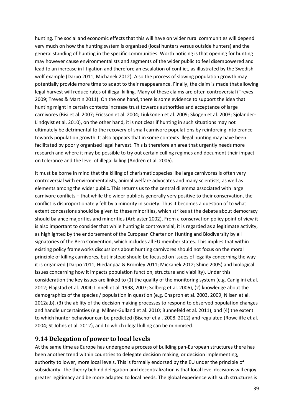hunting. The social and economic effects that this will have on wider rural communities will depend very much on how the hunting system is organized (local hunters versus outside hunters) and the general standing of hunting in the specific communities. Worth noticing is that opening for hunting may however cause environmentalists and segments of the wider public to feel disempowered and lead to an increase in litigation and therefore an escalation of conflict, as illustrated by the Swedish wolf example (Darpö 2011, Michanek 2012). Also the process of slowing population growth may potentially provide more time to adapt to their reappearance. Finally, the claim is made that allowing legal harvest will reduce rates of illegal killing. Many of these claims are often controversial (Treves 2009; Treves & Martin 2011). On the one hand, there is some evidence to support the idea that hunting might in certain contexts increase trust towards authorities and acceptance of large carnivores (Bisi et al. 2007; Ericsson et al. 2004; Liukkonen et al. 2009; Skogen et al. 2003; Sjölander-Lindqvist et al. 2010), on the other hand, it is not clear if hunting in such situations may not ultimately be detrimental to the recovery of small carnivore populations by reinforcing intolerance towards population growth. It also appears that in some contexts illegal hunting may have been facilitated by poorly organised legal harvest. This is therefore an area that urgently needs more research and where it may be possible to try out certain culling regimes and document their impact on tolerance and the level of illegal killing (Andrén et al. 2006).

It must be borne in mind that the killing of charismatic species like large carnivores is often very controversial with environmentalists, animal welfare advocates and many scientists, as well as elements among the wider public. This returns us to the central dilemma associated with large carnivore conflicts – that while the wider public is generally very positive to their conservation, the conflict is disproportionately felt by a minority in society. Thus it becomes a question of to what extent concessions should be given to these minorities, which strikes at the debate about democracy should balance majorities and minorities (Arblaster 2002). From a conservation policy point of view it is also important to consider that while hunting is controversial, it is regarded as a legitimate activity, as highlighted by the endorsement of the European Charter on Hunting and Biodiversity by all signatories of the Bern Convention, which includes all EU member states. This implies that within existing policy frameworks discussions about hunting carnivores should not focus on the moral principle of killing carnivores, but instead should be focused on issues of legality concerning the way it is organized (Darpö 2011; Hiedanpää & Bromley 2011; Mickanek 2012; Shine 2005) and biological issues concerning how it impacts population function, structure and viability). Under this consideration the key issues are linked to (1) the quality of the monitoring system (e.g. Caniglini et al. 2012; Flagstad et al. 2004; Linnell et al. 1998, 2007; Solberg et al. 2006), (2) knowledge about the demographics of the species / population in question (e.g. Chapron et al. 2003, 2009; Nilsen et al. 2012a,b), (3) the ability of the decision making processes to respond to observed population changes and handle uncertainties (e.g. Milner-Gulland et al. 2010; Bunnefeld et al. 2011), and (4) the extent to which hunter behaviour can be predicted (Bischof et al. 2008, 2012) and regulated (Rowcliffe et al. 2004; St Johns et al. 2012), and to which illegal killing can be minimised.

#### <span id="page-38-0"></span>**9.14 Delegation of power to local levels**

At the same time as Europe has undergone a process of building pan-European structures there has been another trend within countries to delegate decision making, or decision implementing, authority to lower, more local levels. This is formally endorsed by the EU under the principle of subsidiarity. The theory behind delegation and decentralization is that local level decisions will enjoy greater legitimacy and be more adapted to local needs. The global experience with such structures is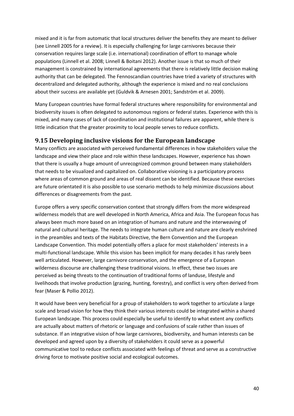mixed and it is far from automatic that local structures deliver the benefits they are meant to deliver (see Linnell 2005 for a review). It is especially challenging for large carnivores because their conservation requires large scale (i.e. international) coordination of effort to manage whole populations (Linnell et al. 2008; Linnell & Boitani 2012). Another issue is that so much of their management is constrained by international agreements that there is relatively little decision making authority that can be delegated. The Fennoscandian countries have tried a variety of structures with decentralized and delegated authority, although the experience is mixed and no real conclusions about their success are available yet (Guldvik & Arnesen 2001; Sandström et al. 2009).

Many European countries have formal federal structures where responsibility for environmental and biodiversity issues is often delegated to autonomous regions or federal states. Experience with this is mixed, and many cases of lack of coordination and institutional failures are apparent, while there is little indication that the greater proximity to local people serves to reduce conflicts.

### <span id="page-39-0"></span>**9.15 Developing inclusive visions for the European landscape**

Many conflicts are associated with perceived fundamental differences in how stakeholders value the landscape and view their place and role within these landscapes. However, experience has shown that there is usually a huge amount of unrecognized common ground between many stakeholders that needs to be visualized and capitalized on. Collaborative visioning is a participatory process where areas of common ground and areas of real dissent can be identified. Because these exercises are future orientated it is also possible to use scenario methods to help minimize discussions about differences or disagreements from the past.

Europe offers a very specific conservation context that strongly differs from the more widespread wilderness models that are well developed in North America, Africa and Asia. The European focus has always been much more based on an integration of humans and nature and the interweaving of natural and cultural heritage. The needs to integrate human culture and nature are clearly enshrined in the preambles and texts of the Habitats Directive, the Bern Convention and the European Landscape Convention. This model potentially offers a place for most stakeholders' interests in a multi-functional landscape. While this vision has been implicit for many decades it has rarely been well articulated. However, large carnivore conservation, and the emergence of a European wilderness discourse are challenging these traditional visions. In effect, these two issues are perceived as being threats to the continuation of traditional forms of landuse, lifestyle and livelihoods that involve production (grazing, hunting, forestry), and conflict is very often derived from fear (Maser & Pollio 2012).

It would have been very beneficial for a group of stakeholders to work together to articulate a large scale and broad vision for how they think their various interests could be integrated within a shared European landscape. This process could especially be useful to identify to what extent any conflicts are actually about matters of rhetoric or language and confusions of scale rather than issues of substance. If an integrative vision of how large carnivores, biodiversity, and human interests can be developed and agreed upon by a diversity of stakeholders it could serve as a powerful communicative tool to reduce conflicts associated with feelings of threat and serve as a constructive driving force to motivate positive social and ecological outcomes.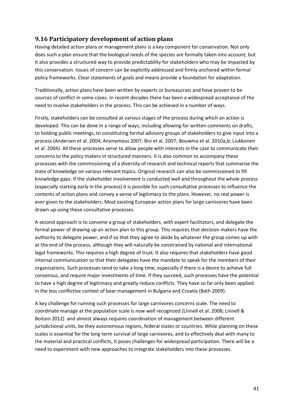## <span id="page-40-0"></span>**9.16 Participatory development of action plans**

Having detailed action plans or management plans is a key component for conservation. Not only does such a plan ensure that the biological needs of the species are formally taken into account, but it also provides a structured way to provide predictability for stakeholders who may be impacted by this conservation. Issues of concern can be explicitly addressed and firmly anchored within formal policy frameworks. Clear statements of goals and means provide a foundation for adaptation.

Traditionally, action plans have been written by experts or bureaucrats and have proven to be sources of conflict in some cases. In recent decades there has been a widespread acceptance of the need to involve stakeholders in the process. This can be achieved in a number of ways.

Firstly, stakeholders can be consulted at various stages of the process during which an action is developed. This can be done in a range of ways, including allowing for written comments on drafts, to holding public meetings, to constituting formal advisory groups of stakeholders to give input into a process (Andersen et al. 2004; Anonymous 2007; Bisi et al. 2007; Bouwma et al. 2010a,b; Liukkonen et al. 2004). All these processes serve to allow people with interests in the case to communicate their concerns to the policy makers in structured manners. It is also common to accompany these processes with the commissioning of a diversity of research and technical reports that summarise the state of knowledge on various relevant topics. Original research can also be commissioned to fill knowledge gaps. If the stakeholder involvement is conducted well and throughout the whole process (especially starting early in the process) it is possible for such consultative processes to influence the contents of action plans and convey a sense of legitimacy to the plans. However, no real power is ever given to the stakeholders. Most existing European action plans for large carnivores have been drawn up using these consultative processes.

A second approach is to convene a group of stakeholders, with expert facilitators, and delegate the formal power of drawing up an action plan to this group. This requires that decision makers have the authority to delegate power, and if so that they agree to abide by whatever the group comes up with at the end of the process, although they will naturally be constrained by national and international legal frameworks. This requires a high degree of trust. It also requires that stakeholders have good internal communication so that their delegates have the mandate to speak for the members of their organisations. Such processes tend to take a long time, especially if there is a desire to achieve full consensus, and require major investments of time. If they succeed, such processes have the potential to have a high degree of legitimacy and greatly reduce conflicts. They have so far only been applied in the less conflictive context of bear management in Bulgaria and Croatia (Bath 2009).

A key challenge for running such processes for large carnivores concerns scale. The need to coordinate manage at the population scale is now well recognized (Linnell et al. 2008; Linnell & Boitani 2012) and almost always requires coordination of management between different jurisdictional units, be they autonomous regions, federal states or countries. While planning on these scales is essential for the long term survival of large carnivores, and to effectively deal with many to the material and practical conflicts, it poses challenges for widespread participation. There will be a need to experiment with new approaches to integrate stakeholders into these processes.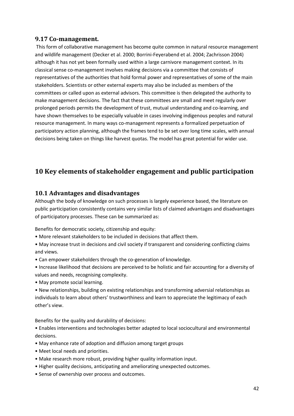#### <span id="page-41-0"></span>**9.17 Co-management.**

This form of collaborative management has become quite common in natural resource management and wildlife management (Decker et al. 2000; Borrini-Feyerabend et al. 2004; Zachrisson 2004) although it has not yet been formally used within a large carnivore management context. In its classical sense co-management involves making decisions via a committee that consists of representatives of the authorities that hold formal power and representatives of some of the main stakeholders. Scientists or other external experts may also be included as members of the committees or called upon as external advisors. This committee is then delegated the authority to make management decisions. The fact that these committees are small and meet regularly over prolonged periods permits the development of trust, mutual understanding and co-learning, and have shown themselves to be especially valuable in cases involving indigenous peoples and natural resource management. In many ways co-management represents a formalized perpetuation of participatory action planning, although the frames tend to be set over long time scales, with annual decisions being taken on things like harvest quotas. The model has great potential for wider use.

# <span id="page-41-1"></span>**10 Key elements of stakeholder engagement and public participation**

### <span id="page-41-2"></span>**10.1 Advantages and disadvantages**

Although the body of knowledge on such processes is largely experience based, the literature on public participation consistently contains very similar lists of claimed advantages and disadvantages of participatory processes. These can be summarized as:

Benefits for democratic society, citizenship and equity:

- More relevant stakeholders to be included in decisions that affect them.
- May increase trust in decisions and civil society if transparent and considering conflicting claims and views.
- Can empower stakeholders through the co-generation of knowledge.
- Increase likelihood that decisions are perceived to be holistic and fair accounting for a diversity of values and needs, recognising complexity.
- May promote social learning.
- New relationships, building on existing relationships and transforming adversial relationships as individuals to learn about others' trustworthiness and learn to appreciate the legitimacy of each other's view.

Benefits for the quality and durability of decisions:

• Enables interventions and technologies better adapted to local sociocultural and environmental decisions.

- May enhance rate of adoption and diffusion among target groups
- Meet local needs and priorities.
- Make research more robust, providing higher quality information input.
- Higher quality decisions, anticipating and ameliorating unexpected outcomes.
- Sense of ownership over process and outcomes.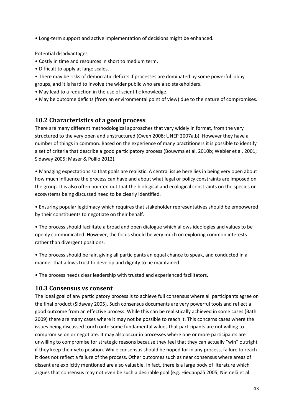• Long-term support and active implementation of decisions might be enhanced.

Potential disadvantages

- Costly in time and resources in short to medium term.
- Difficult to apply at large scales.
- There may be risks of democratic deficits if processes are dominated by some powerful lobby groups, and it is hard to involve the wider public who are also stakeholders.
- May lead to a reduction in the use of scientific knowledge.
- May be outcome deficits (from an environmental point of view) due to the nature of compromises.

### <span id="page-42-0"></span>**10.2 Characteristics of a good process**

There are many different methodological approaches that vary widely in format, from the very structured to the very open and unstructured (Owen 2008; UNEP 2007a,b). However they have a number of things in common. Based on the experience of many practitioners it is possible to identify a set of criteria that describe a good participatory process (Bouwma et al. 2010b; Webler et al. 2001; Sidaway 2005; Maser & Pollio 2012).

• Managing expectations so that goals are realistic. A central issue here lies in being very open about how much influence the process can have and about what legal or policy constraints are imposed on the group. It is also often pointed out that the biological and ecological constraints on the species or ecosystems being discussed need to be clearly identified.

• Ensuring popular legitimacy which requires that stakeholder representatives should be empowered by their constituents to negotiate on their behalf.

• The process should facilitate a broad and open dialogue which allows ideologies and values to be openly communicated. However, the focus should be very much on exploring common interests rather than divergent positions.

• The process should be fair, giving all participants an equal chance to speak, and conducted in a manner that allows trust to develop and dignity to be maintained.

• The process needs clear leadership with trusted and experienced facilitators.

#### <span id="page-42-1"></span>**10.3 Consensus vs consent**

The ideal goal of any participatory process is to achieve full consensus where all participants agree on the final product (Sidaway 2005). Such consensus documents are very powerful tools and reflect a good outcome from an effective process. While this can be realistically achieved in some cases (Bath 2009) there are many cases where it may not be possible to reach it. This concerns cases where the issues being discussed touch onto some fundamental values that participants are not willing to compromise on or negotiate. It may also occur in processes where one or more participants are unwilling to compromise for strategic reasons because they feel that they can actually "win" outright if they keep their veto position. While consensus should be hoped for in any process, failure to reach it does not reflect a failure of the process. Other outcomes such as near consensus where areas of dissent are explicitly mentioned are also valuable. In fact, there is a large body of literature which argues that consensus may not even be such a desirable goal (e.g. Hiedanpää 2005; Niemelä et al.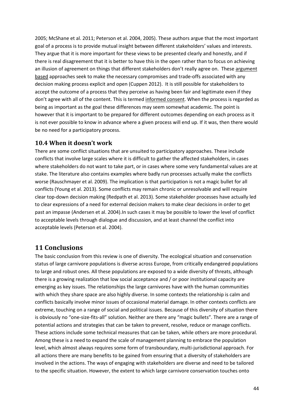2005; McShane et al. 2011; Peterson et al. 2004, 2005). These authors argue that the most important goal of a process is to provide mutual insight between different stakeholders' values and interests. They argue that it is more important for these views to be presented clearly and honestly, and if there is real disagreement that it is better to have this in the open rather than to focus on achieving an illusion of agreement on things that different stakeholders don't really agree on. These argument based approaches seek to make the necessary compromises and trade-offs associated with any decision making process explicit and open (Cuppen 2012). It is still possible for stakeholders to accept the outcome of a process that they perceive as having been fair and legitimate even if they don't agree with all of the content. This is termed informed consent. When the process is regarded as being as important as the goal these differences may seem somewhat academic. The point is however that it is important to be prepared for different outcomes depending on each process as it is not ever possible to know in advance where a given process will end up. If it was, then there would be no need for a participatory process.

## <span id="page-43-0"></span>**10.4 When it doesn't work**

There are some conflict situations that are unsuited to participatory approaches. These include conflicts that involve large scales where it is difficult to gather the affected stakeholders, in cases where stakeholders do not want to take part, or in cases where some very fundamental values are at stake. The literature also contains examples where badly run processes actually make the conflicts worse (Rauschmayer et al. 2009). The implication is that participation is not a magic bullet for all conflicts (Young et al. 2013). Some conflicts may remain chronic or unresolvable and will require clear top-down decision making (Redpath et al. 2013). Some stakeholder processes have actually led to clear expressions of a need for external decision makers to make clear decisions in order to get past an impasse (Andersen et al. 2004).In such cases it may be possible to lower the level of conflict to acceptable levels through dialogue and discussion, and at least channel the conflict into acceptable levels (Peterson et al. 2004).

## <span id="page-43-1"></span>**11 Conclusions**

The basic conclusion from this review is one of diversity. The ecological situation and conservation status of large carnivore populations is diverse across Europe, from critically endangered populations to large and robust ones. All these populations are exposed to a wide diversity of threats, although there is a growing realization that low social acceptance and / or poor institutional capacity are emerging as key issues. The relationships the large carnivores have with the human communities with which they share space are also highly diverse. In some contexts the relationship is calm and conflicts basically involve minor issues of occasional material damage. In other contexts conflicts are extreme, touching on a range of social and political issues. Because of this diversity of situation there is obviously no "one-size-fits-all" solution. Neither are there any "magic bullets". There are a range of potential actions and strategies that can be taken to prevent, resolve, reduce or manage conflicts. These actions include some technical measures that can be taken, while others are more procedural. Among these is a need to expand the scale of management planning to embrace the population level, which almost always requires some form of transboundary, multi-jurisdictional approach. For all actions there are many benefits to be gained from ensuring that a diversity of stakeholders are involved in the actions. The ways of engaging with stakeholders are diverse and need to be tailored to the specific situation. However, the extent to which large carnivore conservation touches onto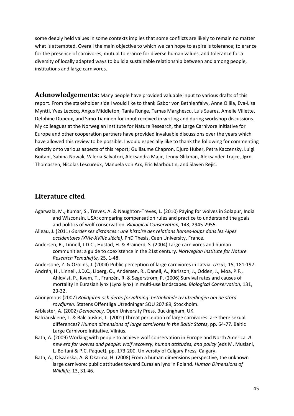some deeply held values in some contexts implies that some conflicts are likely to remain no matter what is attempted. Overall the main objective to which we can hope to aspire is tolerance; tolerance for the presence of carnivores, mutual tolerance for diverse human values, and tolerance for a diversity of locally adapted ways to build a sustainable relationship between and among people, institutions and large carnivores.

<span id="page-44-0"></span>**Acknowledgements:** Many people have provided valuable input to various drafts of this report. From the stakeholder side I would like to thank Gabor von Bethlenfalvy, Anne Ollila, Eva-Lisa Myntti, Yves Lecocq, Angus Middleton, Tania Runge, Tamas Marghescu, Luis Suarez, Amelie Villette, Delphine Dupeux, and Simo Tianinen for input received in writing and during workshop discussions. My colleagues at the Norwegian Institute for Nature Research, the Large Carnivore Initiative for Europe and other cooperation partners have provided invaluable discussions over the years which have allowed this review to be possible. I would especially like to thank the following for commenting directly onto various aspects of this report; Guillaume Chapron, Djuro Huber, Petra Kaczensky, Luigi Boitani, Sabina Nowak, Valeria Salvatori, Aleksandra Majic, Jenny Glikman, Aleksander Trajce, Jørn Thomassen, Nicolas Lescureux, Manuela von Arx, Eric Marboutin, and Slaven Rejic.

## <span id="page-44-1"></span>**Literature cited**

- Agarwala, M., Kumar, S., Treves, A. & Naughton-Treves, L. (2010) Paying for wolves in Solapur, India and Wisconsin, USA: comparing compensation rules and practice to understand the goals and politics of wolf conservation. *Biological Conservation,* 143, 2945-2955.
- Alleau, J. (2011) *Garder ses distances : une histoire des relations homes-loups dans les Alpes occidentales (XVIe-XVIIIe siècle)*. PhD Thesis, Caen University, France.
- Andersen, R., Linnell, J.D.C., Hustad, H. & Brainerd, S. (2004) Large carnivores and human communities: a guide to coexistence in the 21st century. *Norwegian Institute for Nature Research Temahefte,* 25, 1-48.
- Andersone, Z. & Ozolins, J. (2004) Public perception of large carnivores in Latvia. *Ursus,* 15, 181-197.
- Andrén, H., Linnell, J.D.C., Liberg, O., Andersen, R., Danell, A., Karlsson, J., Odden, J., Moa, P.F., Ahlqvist, P., Kvam, T., Franzén, R. & Segerström, P. (2006) Survival rates and causes of mortality in Eurasian lynx (Lynx lynx) in multi-use landscapes. *Biological Conservation,* 131, 23-32.
- Anonymous (2007) *Rovdjuren och deras förvaltning: betänkande av utredingen om de stora rovdjuren*. Statens Offentliga Utredningar SOU 207:89, Stockholm.
- Arblaster, A. (2002) *Democracy*. Open University Press, Buckingham, UK.
- Balciauskiene, L. & Balciauskas, L. (2001) Threat perception of large carnivores: are there sexual differences? *Human dimensions of large carnivores in the Baltic States*, pp. 64-77. Baltic Large Carnivore Initiative, Vilnius.
- Bath, A. (2009) Working with people to achieve wolf conservation in Europe and North America. *A new era for wolves and people: wolf recovery, human attitudes, and policy (eds M. Musiani,* L. Boitani & P.C. Paquet), pp. 173-200. University of Calgary Press, Calgary.
- Bath, A., Olszanska, A. & Okarma, H. (2008) From a human dimensions perspective, the unknown large carnivore: public attitudes toward Eurasian lynx in Poland. *Human Dimensions of Wildlife,* 13, 31-46.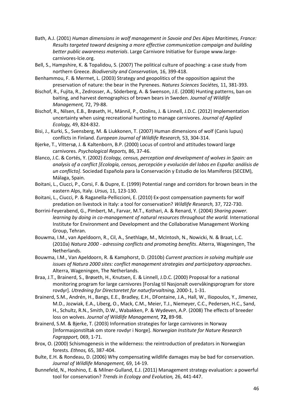- Bath, A.J. (2001) *Human dimensions in wolf management in Savoie and Des Alpes Maritimes, France: Results targeted toward designing a more effective communication campaign and building better public awareness materials*. Large Carnivore Initiative for Europe www.largecarnivores-lcie.org.
- Bell, S., Hampshire, K. & Topalidou, S. (2007) The political culture of poaching: a case study from northern Greece. *Biodiversity and Conservation,* 16, 399-418.
- Benhammou, F. & Mermet, L. (2003) Strategy and geopolitics of the opposition against the preservation of nature: the bear in the Pyrenees. *Natures Sciences Sociétes,* 11, 381-393.
- Bischof, R., Fujita, R., Zedrosser, A., Söderberg, A. & Swenson, J.E. (2008) Hunting patterns, ban on baiting, and harvest demographics of brown bears in Sweden. *Journal of Wildlife Management,* 72, 79-88.
- Bischof, R., Nilsen, E.B., Brøseth, H., Männil, P., Ozolins, J. & Linnell, J.D.C. (2012) Implementation uncertainty when using recreational hunting to manage carnivores. *Journal of Applied Ecology,* 49, 824-832.
- Bisi, J., Kurki, S., Svensberg, M. & Liukkonen, T. (2007) Human dimensions of wolf (Canis lupus) conflicts in Finland. *European Journal of Wildlife Research,* 53, 304-314.
- Bjerke, T., Vittersø, J. & Kaltenborn, B.P. (2000) Locus of control and attitudes toward large carnivores. *Psychological Reports,* 86, 37-46.
- Blanco, J.C. & Cortés, Y. (2002) *Ecology, census, perception and development of wolves in Spain: an analysis of a conflict [Ecología, censos, percepción y evolución del lobos en España: análisis de un conflicto]*. Sociedad Española para la Conservación y Estudio de los Mamíferos (SECEM), Málaga, Spain.
- Boitani, L., Ciucci, P., Corsi, F. & Dupre, E. (1999) Potential range and corridors for brown bears in the eastern Alps, Italy. *Ursus,* 11, 123-130.
- Boitani, L., Ciucci, P. & Raganella-Pelliccioni, E. (2010) Ex-post compensation payments for wolf predation on livestock in Italy: a tool for conservation? *Wildlife Research,* 37, 722-730.
- Borrini-Feyerabend, G., Pimbert, M., Farvar, M.T., Kothari, A. & Renard, Y. (2004) *Sharing power. learning by doing in co-management of natural resources throughout the world.* International Institute for Environment and Development and the Collaborative Management Working Group, Tehran.
- Bouwma, I.M., van Apeldoorn, R., Cil, A., Snethlage, M., McIntosh, N., Nowicki, N. & Braat, L.C. (2010a) *Natura 2000 - adressing conflicts and promoting benefits*. Alterra, Wageningen, The Netherlands.
- Bouwma, I.M., Van Apeldoorn, R. & Kamphorst, D. (2010b) *Current practices in solving multiple use issues of Natura 2000 sites: conflict management strategies and participatory approaches*. Alterra, Wageningen, The Netherlands.
- Braa, J.T., Brainerd, S., Brøseth, H., Knutsen, E. & Linnell, J.D.C. (2000) Proposal for a national monitoring program for large carnivores [Forslag til Nasjonalt overvåkingsprogram for store rovdyr]. *Utredning for Directoretet for naturforvaltning,* 2000-1, 1-31.
- Brainerd, S.M., Andrén, H., Bangs, E.E., Bradley, E.H., DFontaine, J.A., Hall, W., Iliopoulos, Y., Jimenez, M.D., Jozwiak, E.A., Liberg, O., Mack, C.M., Meier, T.J., Niemeyer, C.C., Pedersen, H.C., Sand, H., Schultz, R.N., Smith, D.W., Wabakken, P. & Wydeven, A.P. (2008) The effects of breeder loss on wolves. *Journal of Wildlife Management,* **72,** 89-98.
- Brainerd, S.M. & Bjerke, T. (2003) Information strategies for large carnivores in Norway [Informasjonstiltak om store rovdyr i Norge]. *Norwegian Institute for Nature Research Fagrapport,* 069, 1-71.
- Brox, O. (2000) Schismogenesis in the wilderness: the reintroduction of predators in Norwegian forests. *Ethnos,* 65, 387-404.
- Bulte, E.H. & Rondeau, D. (2006) Why compensating wildlife damages may be bad for conservation. *Journal of Wildlife Management,* 69, 14-19.
- Bunnefeld, N., Hoshino, E. & Milner-Gulland, E.J. (2011) Management strategy evaluation: a powerful tool for conservation? *Trends in Ecology and Evolution,* 26, 441-447.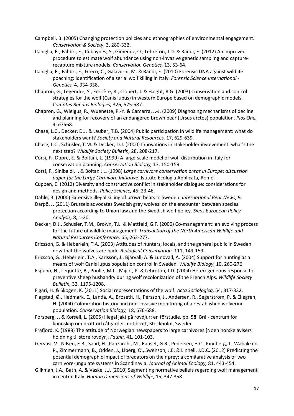- Campbell, B. (2005) Changing protection policies and ethnographies of environmental engagement. *Conservation & Society,* 3, 280-332.
- Caniglia, R., Fabbri, E., Cubaynes, S., Gimenez, O., Lebreton, J.D. & Randi, E. (2012) An improved procedure to estimate wolf abundance using non-invasive genetic sampling and capturerecapture mixture models. *Conservation Genetics,* 13, 53-64.
- Caniglia, R., Fabbri, E., Greco, C., Galaverni, M. & Randi, E. (2010) Forensic DNA against wildlife poaching: identification of a serial wolf killing in Italy. *Forensic Science International - Genetics,* 4, 334-338.
- Chapron, G., Legendre, S., Ferrière, R., Clobert, J. & Haight, R.G. (2003) Conservation and control strategies for the wolf (Canis lupus) in western Europe based on demographic models. *Comptes Rendus Biologies,* 326, 575-587.
- Chapron, G., Wielgus, R., Wuenette, P.-Y. & Camarra, J.-J. (2009) Diagnosing mechanisms of decline and planning for recovery of an endangered brown bear (Ursus arctos) population. *Plos One,* 4, e7568.
- Chase, L.C., Decker, D.J. & Lauber, T.B. (2004) Public participation in wildlife management: what do stakeholders want? *Society and Natural Resources,* 17, 629-639.
- Chase, L.C., Schusler, T.M. & Decker, D.J. (2000) Innovations in stakeholder involvement: what's the next step? *Wildlife Society Bulletin,* 28, 208-217.
- Corsi, F., Dupre, E. & Boitani, L. (1999) A large-scale model of wolf distribution in Italy for conservation planning. *Conservation Biology,* 13, 150-159.
- Corsi, F., Sinibaldi, I. & Boitani, L. (1998) *Large carnivore conservation areas in Europe: discussion paper for the Large Carnivore Initiative*. Istituto Ecologia Applicata, Rome.
- Cuppen, E. (2012) Diversity and constructive conflict in stakeholder dialogue: considerations for design and methods. *Policy Science,* 45, 23-46.
- Dahle, B. (2000) Extensive illegal killing of brown bears in Sweden. *International Bear News,* 9.
- Darpö, J. (2011) Brussels advocates Swedish grey wolves: on the encounter between species protection according to Union law and the Swedish wolf policy. *Sieps European Policy Analysis,* 8, 1-20.
- Decker, D.J., Schusler, T.M., Brown, T.L. & Mattfeld, G.F. (2000) Co-management: an evolving process for the future of wildlife management. *Transaction of the North American Wildlife and Natural Resources Conference,* 65, 262-277.
- Ericsson, G. & Heberlein, T.A. (2003) Attitudes of hunters, locals, and the general public in Sweden now that the wolves are back. *Biological Conservation,* 111, 149-159.
- Ericsson, G., Heberlein, T.A., Karlsson, J., Bjärvall, A. & Lundvall, A. (2004) Support for hunting as a means of wolf Canis lupus population control in Sweden. *Wildlife Biology,* 10, 260-276.
- Espuno, N., Lequette, B., Poulle, M.L., Migot, P. & Lebreton, J.D. (2004) Heterogeneous response to preventive sheep husbandry during wolf recolonization of the French Alps. *Wildlife Society Bulletin,* 32, 1195-1208.
- Figari, H. & Skogen, K. (2011) Social representations of the wolf. *Acta Sociologica,* 54, 317-332.
- Flagstad, Ø., Hedmark, E., Landa, A., Brøseth, H., Persson, J., Andersen, R., Segerstrom, P. & Ellegren, H. (2004) Colonization history and non-invasive monitoring of a restablished wolverine population. *Conservation Biology,* 18, 676-688.
- Forsberg, J. & Korsell, L. (2005) Illegal jakt på rovdjur: en förstudie. pp. 58. Brå centrum för kunnskap om brott och åtgärder mot brott, Stockholm, Sweden.
- Frafjord, K. (1988) The attitude of Norwegian newspapers to large carnivores [Noen norske avisers holdning til store rovdyr]. *Fauna,* 41, 101-103.
- Gervasi, V., Nilsen, E.B., Sand, H., Panzacchi, M., Rauset, G.R., Pedersen, H.C., Kindberg, J., Wabakken, P., Zimmermann, B., Odden, J., Liberg, O., Swenson, J.E. & Linnell, J.D.C. (2012) Predicting the potential demographic impact of predators on their prey: a comåarative analysis of two carnivore-ungulate systems in Scandinavia. *Journal of Animal Ecology,* 81, 443-454.
- Glikman, J.A., Bath, A. & Vaske, J.J. (2010) Segmenting normative beliefs regarding wolf management in central Italy. *Human Dimensions of Wildlife,* 15, 347-358.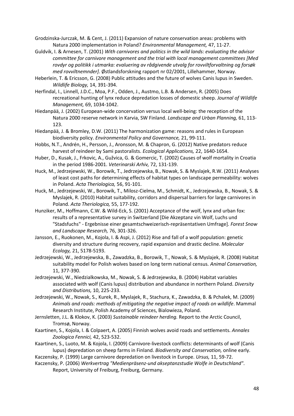Grodzinska-Jurczak, M. & Cent, J. (2011) Expansion of nature conservation areas: problems with Natura 2000 implementation in Poland? *Environmental Management,* 47, 11-27.

- Guldvik, I. & Arnesen, T. (2001) *With carnivores and politics in the wild lands: evaluating the advisor committee for carnivore management and the trial with local management committees [Med rovdyr og politikk i utmarka: evaluering av rådgivende utvalg for rovviltforvaltning og forsøk med rovviltnemnder]*. Østlandsforskning rapport nr 02/2001, Lillehammer, Norway.
- Heberlein, T. & Ericsson, G. (2008) Public attitudes and the future of wolves Canis lupus in Sweden. *Wildlife Biology,* 14, 391-394.
- Herfindal, I., Linnell, J.D.C., Moa, P.F., Odden, J., Austmo, L.B. & Andersen, R. (2005) Does recreational hunting of lynx reduce depredation losses of domestic sheep. *Journal of Wildlife Management,* 69, 1034-1042.
- Hiedanpää, J. (2002) European-wide concervation versus local well-being: the reception of the Natura 2000 reserve network in Karvia, SW Finland. *Landscape and Urban Planning,* 61, 113- 123.
- Hiedanpää, J. & Bromley, D.W. (2011) The harmonization game: reasons and rules in European biodiversity policy. *Environmental Policy and Governance,* 21, 99-111.
- Hobbs, N.T., Andrén, H., Persson, J., Aronsson, M. & Chapron, G. (2012) Native predators reduce harvest of reindeer by Sami pastoralists. *Ecological Applications,* 22, 1640-1654.
- Huber, D., Kusak, J., Frkovic, A., Gužvica, G. & Gomercic, T. (2002) Causes of wolf mortality in Croatia in the period 1986-2001. *Veterinarski Arhiv,* 72, 131-139.
- Huck, M., Jedrzejewski, W., Borowik, T., Jedrzejewska, B., Nowak, S. & Myslajek, R.W. (2011) Analyses of least cost paths for determining effects of habitat types on landscape permeability: wolves in Poland. *Acta Theriologica,* 56, 91-101.
- Huck, M., Jedrzejewski, W., Borowik, T., Milosz-Cielma, M., Schmidt, K., Jedrzejewska, B., Nowak, S. & Myslajek, R. (2010) Habitat suitability, corridors and dispersal barriers for large carnivores in Poland. *Acta Theriologica,* 55, 177-192.
- Hunziker, M., Hoffmann, C.W. & Wild-Eck, S. (2001) Acceptance of the wolf, lynx and urban fox: results of a representative survey in Switzerland [Die Akzeptanz vin Wolf, Luchs und "Stadsfuchs" - Ergebnisse einer gesamtschweizerisch-repräsentativen Umfrage]. *Forest Snow and Landscape Research,* 76, 301-326.
- Jansson, E., Ruokonen, M., Kojola, I. & Aspi, J. (2012) Rise and fall of a wolf population: genetic diversity and structure during recovery, rapid expansion and drastic decline. *Molecular Ecology,* 21, 5178-5193.
- Jedrzejewski, W., Jedrzejewska, B., Zawadzka, B., Borowik, T., Nowak, S. & Myslajek, R. (2008) Habitat suitability model for Polish wolves based on long term national census. *Animal Conservation,* 11, 377-390.
- Jedrzejewski, W., Niedzialkowska, M., Nowak, S. & Jedrzejewska, B. (2004) Habitat variables associated with wolf (Canis lupus) distribution and abundance in northern Poland. *Diversity and Distributions,* 10, 225-233.
- Jedrzejewski, W., Nowak, S., Kurek, R., Myslajek, R., Stachura, K., Zawadzka, B. & Pchalek, M. (2009) *Animals and roads: methods of mitigating the negative impact of roads on wildlife*. Mammal Research Institute, Polish Academy of Sciences, Bialowieza, Poland.
- Jernsletten, J.L. & Klokov, K. (2003) *Sustainable reindeer herding.* Report to the Arctic Council, Tromsø, Norway.
- Kaartinen, S., Kojola, I. & Colpaert, A. (2005) Finnish wolves avoid roads and settlements. *Annales Zoologica Fennici,* 42, 523-532.
- Kaartinen, S., Luoto, M. & Kojola, I. (2009) Carnivore-livestock conflicts: determinants of wolf (Canis lupus) depredation on sheep farms in Finland. *Biodiversity and Conservation,* online early.
- Kaczensky, P. (1999) Large carnivore depredation on livestock in Europe. *Ursus,* 11, 59-72.
- Kaczensky, P. (2006) *Werkvertrag "Medienpräsenz-und akseptanzstudie Wolfe in Deutschland"*. Report, University of Freiburg, Freiburg, Germany.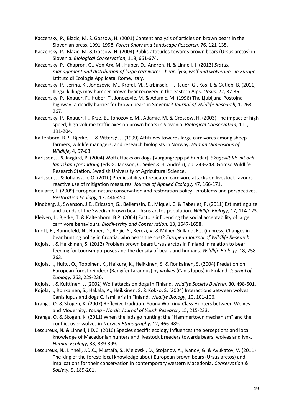Kaczensky, P., Blazic, M. & Gossow, H. (2001) Content analysis of articles on brown bears in the Slovenian press, 1991-1998. *Forest Snow and Landscape Research,* 76, 121-135.

- Kaczensky, P., Blazic, M. & Gossow, H. (2004) Public attitudes towards brown bears (Ursus arctos) in Slovenia. *Biological Conservation,* 118, 661-674.
- Kaczensky, P., Chapron, G., Von Arx, M., Huber, D., Andrén, H. & Linnell, J. (2013) *Status, management and distribution of large carnivores - bear, lynx, wolf and wolverine - in Europe*. Istituto di Ecologia Applicata, Rome, Italy.
- Kaczensky, P., Jerina, K., Jonozovic, M., Krofel, M., Skrbinsek, T., Rauer, G., Kos, I. & Gutleb, B. (2011) Illegal killings may hamper brown bear recovery in the eastern Alps. *Ursus,* 22, 37-36.
- Kaczensky, P., Knauer, F., Huber, T., Jonozovic, M. & Adamic, M. (1996) The Ljubljana-Postojna highway -a deadly barrier for brown bears in Slovenia? *Journal of Wildlife Research,* 1, 263- 267.
- Kaczensky, P., Knauer, F., Krze, B., Jonozovic, M., Adamic, M. & Grossow, H. (2003) The impact of high speed, high volume traffic axes on brown bears in Slovenia. *Biological Conservation,* 111, 191-204.
- Kaltenborn, B.P., Bjerke, T. & Vittersø, J. (1999) Attitudes towards large carnivores among sheep farmers, wildlife managers, and research biologists in Norway. *Human Dimensions of Wildlife,* 4**,** 57-63.
- Karlsson, J. & Jaxgård, P. (2004) Wolf attacks on dogs [Vargangrepp på hundar]. *Skogsvilt III: vilt och landskap i förändring* (eds G. Jansson, C. Seiler & H. Andrén), pp. 243-248. Grimsö Wildlife Research Station, Swedish University of Agricultural Science.
- Karlsson, J. & Johansson, O. (2010) Predictability of repeated carnivore attacks on livestock favours reactive use of mitigation measures. *Journal of Applied Ecology,* 47, 166-171.
- Keulartz, J. (2009) European nature conservation and restoration policy problems and perspectives. *Restoration Ecology,* 17, 446-450.
- Kindberg, J., Swenson, J.E., Ericsson, G., Bellemain, E., Miquel, C. & Taberlet, P. (2011) Estimating size and trends of the Swedish brown bear Ursus arctos population. *Wildlife Biology,* 17, 114-123.
- Kleiven, J., Bjerke, T. & Kaltenborn, B.P. (2004) Factors influencing the social acceptability of large carnivore behaviours. *Biodiversity and Conservation,* 13, 1647-1658.
- Knott, E., Bunnefeld, N., Huber, D., Reljic, S., Kerezi, V. & Milner-Gulland, E.J. (in press) Changes in bear hunting policy in Croatia: who bears the cost? *European Journal of Wildlife Research*.
- Kojola, I. & Heikkinen, S. (2012) Problem brown bears Ursus arctos in Finland in relation to bear feeding for tourism purposes and the density of bears and humans. *Wildlife Biology,* 18, 258- 263.
- Kojola, I., Huitu, O., Toppinen, K., Heikura, K., Heikkinen, S. & Ronkainen, S. (2004) Predation on European forest reindeer (Rangifer tarandus) by wolves (Canis lupus) in Finland. *Journal of Zoology,* 263, 229-236.
- Kojola, I. & Kuittinen, J. (2002) Wolf attacks on dogs in Finland. *Wildlife Society Bulletin,* 30, 498-501.
- Kojola, I., Ronkainen, S., Hakala, A., Heikkinen, S. & Kokko, S. (2004) Interactions between wolves Canis lupus and dogs C. familiaris in Finland. *Wildlife Biology,* 10, 101-106.
- Krange, O. & Skogen, K. (2007) Reflexive tradition. Young Working-Class Hunters between Wolves and Modernity. *Young - Nordic Journal of Youth Research,* 15, 215-233.
- Krange, O. & Skogen, K. (2011) When the lads go hunting: the "Hammertown mechanism" and the conflict over wolves in Norway *Ethnography,* 12, 466-489.
- Lescureux, N. & Linnell, J.D.C. (2010) Species specific ecology influences the perceptions and local knowledge of Macedonian hunters and livestock breeders towards bears, wolves and lynx. *Human Ecology,* 38, 389-399.
- Lescureux, N., Linnell, J.D.C., Mustafa, S., Melovski, D., Stojanov, A., Ivanov, G. & Avukatov, V. (2011) The king of the forest: local knowledge about European brown bears (Ursus arctos) and implications for their conservation in contemporary western Macedonia. *Conservation & Society,* 9, 189-201.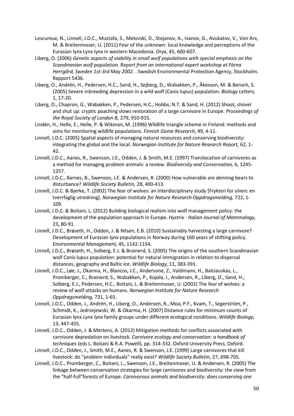- Lescureux, N., Linnell, J.D.C., Mustafa, S., Melovski, D., Stojanov, A., Ivanov, G., Avukatov, V., Von Arx, M. & Breitenmoser, U. (2011) Fear of the unknown: local knowledge and perceptions of the Eurasian lynx Lynx lynx in western Macedonia. *Oryx,* 45, 600-607.
- Liberg, O. (2006) *Genetic aspects of viability in small wolf populations with special emphasis on the Scandinavian wolf population. Report from an international expert workshop at Färna Herrgård, Sweden 1st-3rd May 2002.* . Swedish Environmental Protection Agency, Stockholm. Rapport 5436.
- Liberg, O., Andrén, H., Pedersen, H.C., Sand, H., Sejberg, D., Wabakken, P., Åkesson, M. & Bensch, S. (2005) Severe inbreeding depression in a wild wolf (Canis lupus) population. *Biology Letters,* 1, 17-20.
- Liberg, O., Chapron, G., Wabakken, P., Pedersen, H.C., Hobbs, N.T. & Sand, H. (2012) Shoot, shovel and shut up: cryptic poaching slows restoration of a large carnivore in Europe. *Proceedings of the Royal Society of London B,* 279, 910-915.
- Lindén, H., Helle, E., Helle, P. & Wikman, M. (1996) Wildlife triangle scheme in Finland: methods and aims for monitoring wildlife populations. *Finnish Game Research,* 49, 4-11.
- Linnell, J.D.C. (2005) Spatial aspects of managing natural resources and conserving biodiversity: integrating the global and the local. *Norwegian Institute for Nature Research Report,* 62, 1- 42.
- Linnell, J.D.C., Aanes, R., Swenson, J.E., Odden, J. & Smith, M.E. (1997) Translocation of carnivores as a method for managing problem animals: a review. *Biodiversity and Conservation,* 6, 1245- 1257.
- Linnell, J.D.C., Barnes, B., Swenson, J.E. & Andersen, R. (2000) How vulnerable are denning bears to disturbance? *Wildlife Society Bulletin,* 28, 400-413.
- Linnell, J.D.C. & Bjerke, T. (2002) The fear of wolves: an interdisciplinary study [Frykten for ulven: en tverrfaglig utredning]. *Norwegian Institute for Nature Research Oppdragsmelding,* 722, 1- 109.
- Linnell, J.D.C. & Boitani, L. (2012) Building biological realism into wolf management policy: the development of the population approach in Europe. *Hystrix - Italian Journal of Mammalogy,* 23, 80-91.
- Linnell, J.D.C., Brøseth, H., Odden, J. & Nilsen, E.B. (2010) Sustainably harvesting a large carnivore? Development of Eurasian lynx populations in Norway during 160 years of shifting policy. *Environmental Management,* 45, 1142-1154.
- Linnell, J.D.C., Brøseth, H., Solberg, E.J. & Brainerd, S. (2005) The origins of the southern Scandinavian wolf Canis lupus population: potential for natural immigration in relation to dispersal distances, geography and Baltic ice. *Wildlife Biology,* 11, 383-391.
- Linnell, J.D.C., Løe, J., Okarma, H., Blancos, J.C., Andersone, Z., Valdmann, H., Balciauskas, L., Promberger, C., Brainerd, S., Wabakken, P., Kojola, I., Andersen, R., Liberg, O., Sand, H., Solberg, E.J., Pedersen, H.C., Boitani, L. & Breitenmoser, U. (2002) The fear of wolves: a review of wolf attacks on humans. *Norwegian Institute for Nature Research Oppdragsmelding,* 731, 1-65.
- Linnell, J.D.C., Odden, J., Andrén, H., Liberg, O., Andersen, R., Moa, P.F., Kvam, T., Segerström, P., Schmidt, K., Jedrzejewski, W. & Okarma, H. (2007) Distance rules for minimum counts of Eurasian lynx *Lynx lynx* family groups under different ecological conditions. *Wildlife Biology,* 13, 447-455.
- Linnell, J.D.C., Odden, J. & Mertens, A. (2012) Mitigation methods for conflicts associated with carnivore depredation on livestock. *Carnivore ecology and conservation: a handbook of techniques* (eds L. Boitani & R.A. Powell), pp. 314-332. Oxford University Press, Oxford.
- Linnell, J.D.C., Odden, J., Smith, M.E., Aanes, R. & Swenson, J.E. (1999) Large carnivores that kill livestock: do "problem individuals" really exist? *Wildlife Society Bulletin,* 27, 698-705.
- Linnell, J.D.C., Promberger, C., Boitani, L., Swenson, J.E., Breitenmoser, U. & Andersen, R. (2005) The linkage between conservation strategies for large carnivores and biodiversity: the view from the "half-full"forests of Europe. *Carnivorous animals and biodiversity: does conserving one*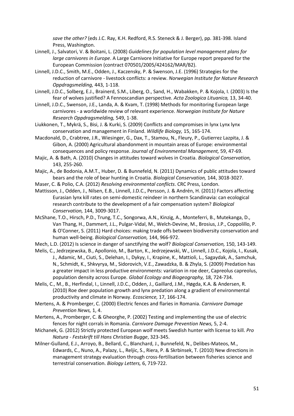*save the other?* (eds J.C. Ray, K.H. Redford, R.S. Steneck & J. Berger), pp. 381-398. Island Press, Washington.

- Linnell, J., Salvatori, V. & Boitani, L. (2008) *Guidelines for population level management plans for large carnivores in Europe*. A Large Carnivore Initiative for Europe report prepared for the European Commission (contract 070501/2005/424162/MAR/B2).
- Linnell, J.D.C., Smith, M.E., Odden, J., Kaczensky, P. & Swenson, J.E. (1996) Strategies for the reduction of carnivore - livestock conflicts: a review. *Norwegian Institute for Nature Research Oppdragsmelding,* 443, 1-118.
- Linnell, J.D.C., Solberg, E.J., Brainerd, S.M., Liberg, O., Sand, H., Wabakken, P. & Kojola, I. (2003) Is the fear of wolves justified? A Fennoscandian perspective. *Acta Zoologica Lituanica,* 13, 34-40.
- Linnell, J.D.C., Swenson, J.E., Landa, A. & Kvam, T. (1998) Methods for monitoring European large carnivores - a worldwide review of relevant experience. *Norwegian Institute for Nature Research Oppdragsmelding,* 549, 1-38.
- Liukkonen, T., Mykrä, S., Bisi, J. & Kurki, S. (2009) Conflicts and compromises in lynx Lynx lynx conservation and management in Finland. *Wildlife Biology,* 15, 165-174.
- Macdonald, D., Crabtree, J.R., Wiesinger, G., Dax, T., Stamou, N., Fleury, P., Gutierrez Lazpita, J. & Gibon, A. (2000) Agricultural abandonment in mountain areas of Europe: environmental consequences and policy response. *Journal of Environmental Management,* 59, 47-69.
- Majic, A. & Bath, A. (2010) Changes in attitudes toward wolves in Croatia. *Biological Conservation,* 143, 255-260.
- Majic, A., de Bodonia, A.M.T., Huber, D. & Bunnefeld, N. (2011) Dynamics of public attitudes toward bears and the role of bear hunting in Croatia. *Biological Conservation,* 144, 3018-3027.
- Maser, C. & Polio, C.A. (2012) *Resolving environmental conflicts*. CRC Press, London.
- Mattisson, J., Odden, J., Nilsen, E.B., Linnell, J.D.C., Persson, J. & Andrén, H. (2011) Factors affecting Eurasian lynx kill rates on semi-domestic reindeer in northern Scandinavia: can ecological research contribute to the development of a fair compensation system? *Biological Conservation,* 144, 3009-3017.
- McShane, T.O., Hirsch, P.D., Trung, T.C., Songorwa, A.N., Kinzig, A., Monteferri, B., Mutekanga, D., Van Thang, H., Dammert, J.L., Pulgar-Vidal, M., Welch-Devine, M., Brosius, J.P., Coppolillo, P. & O'Conner, S. (2011) Hard choices: making trade offs between biodiversity conservation and human well-being. *Biological Conservation,* 144, 966-972.
- Mech, L.D. (2012) Is science in danger of sanctifying the wolf? *Biological Conservation,* 150, 143-149.
- Melis, C., Jedrzejewska, B., Apollonio, M., Barton, K., Jedrzejewski, W., Linnell, J.D.C., Kojola, I., Kusak, J., Adamic, M., Ciuti, S., Delehan, I., Dykyy, I., Krapine, K., Mattioli, L., Sagaydak, A., Samchuk, N., Schmidt, K., Shkvyrya, M., Sidorovich, V.E., Zawadzka, B. & Zhyla, S. (2009) Predation has a greater impact in less productive environments: variation in roe deer, Capreolus capreolus, population density across Europe. *Global Ecology and Biogeography,* 18, 724-734.
- Melis, C., M., B., Herfindal, I., Linnell, J.D.C., Odden, J., Gaillard, J.M., Høgda, K.A. & Andersen, R. (2010) Roe deer population growth and lynx predation along a gradient of environmental productivity and climate in Norway. *Ecoscience,* 17, 166-174.
- Mertens, A. & Promberger, C. (2000) Electric fences and flaries in Romania. *Carnivore Damage Prevention News,* 1, 4.
- Mertens, A., Promberger, C. & Gheorghe, P. (2002) Testing and implementing the use of electric fences for night corrals in Romania. *Carnivore Damage Prevention News,* 5, 2-4.
- Michanek, G. (2012) Strictly protected European wolf meets Swedish hunter with license to kill. *Pro Natura - Festskrift till Hans Christian Bugge*, 323-345.
- Milner-Gulland, E.J., Arroyo, B., Bellard, C., Blanchard, J., Bunnefeld, N., Delibes-Mateos, M., Edwards, C., Nuno, A., Palazy, L., Reljic, S., Riera, P. & Skrbinsek, T. (2010) New directions in management strategy evaluation through cross-fertilisation between fisheries science and terrestrial conservation. *Biology Letters,* 6, 719-722.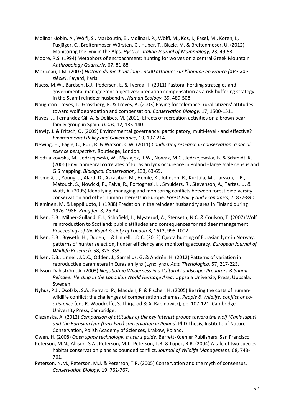Molinari-Jobin, A., Wölfl, S., Marboutin, E., Molinari, P., Wölfl, M., Kos, I., Fasel, M., Koren, I., Fuxjäger, C., Breitenmoser-Würsten, C., Huber, T., Blazic, M. & Breitenmoser, U. (2012) Monitoring the lynx in the Alps. *Hystrix - Italian Journal of Mammalogy,* 23, 49-53.

Moore, R.S. (1994) Metaphors of encroachment: hunting for wolves on a central Greek Mountain. *Anthropology Quarterly,* 67, 81-88.

Moriceau, J.M. (2007) *Histoire du méchant loup : 3000 attaques sur l'homme en France (XVe-XXe siècle)*. Fayard, Paris.

Naess, M.W., Bardsen, B.J., Pedersen, E. & Tveraa, T. (2011) Pastoral herding strategies and governmental manageemnt objectives: predation compensation as a risk buffering strategy in the Saami reindeer husbandry. *Human Ecology,* 39, 489-508.

Naughton-Treves, L., Grossberg, R. & Treves, A. (2003) Paying for tolerance: rural citizens' attitudes toward wolf depredation and compensation. *Conservation Biology,* 17, 1500-1511.

- Naves, J., Fernandez-Gil, A. & Delibes, M. (2001) Effects of recreation activities on a brown bear family group in Spain. *Ursus,* 12, 135-140.
- Newig, J. & Fritsch, O. (2009) Environmental governance: participatory, multi-level and effective? *Environmental Policy and Governance,* 19, 197-214.

Newing, H., Eagle, C., Puri, R. & Watson, C.W. (2011) *Conducting research in conservation: a social science perspective*. Routledge, London.

Niedzialkowska, M., Jedrzejewski, W., Mysiajek, R.W., Nowak, M.C., Jedrzejewska, B. & Schmidt, K. (2006) Environmenral correlates of Eurasian lynx occurence in Poland - large scale census and GIS mapping. *Biological Conservation,* 133, 63-69.

Niemelä, J., Young, J., Alard, D., Askasibar, M., Hemle, K., Johnson, R., Kurttila, M., Larsson, T.B., Matouch, S., Nowicki, P., Paiva, R., Portoghesi, L., Smulders, R., Stevenson, A., Tartes, U. & Watt, A. (2005) Identifying, managing and monitoring conflicts between forest biodiversity conservation and other human interests in Europe. *Forest Policy and Economics,* 7, 877-890.

Nieminen, M. & Leppäluoto, J. (1988) Predation in the reindeer husbandry area in Finland during 1976-1986. *Rangifer,* 8, 25-34.

Nilsen, E.B., Milner-Gulland, E.J., Schofield, L., Mysterud, A., Stenseth, N.C. & Coulson, T. (2007) Wolf reintroduction to Scotland: public attitudes and consequences for red deer management. *Proceedings of the Royal Society of London B,* 1612, 995-1002

Nilsen, E.B., Brøseth, H., Odden, J. & Linnell, J.D.C. (2012) Quota hunting of Eurasian lynx in Norway: patterns of hunter selection, hunter efficiency and monitoring accuracy. *European Journal of Wildlife Research,* 58, 325-333.

Nilsen, E.B., Linnell, J.D.C., Odden, J., Samelius, G. & Andrén, H. (2012) Patterns of variation in reproductive parameters in Eurasian lynx (Lynx lynx). *Acta Theriologica,* 57, 217-223.

- Nilsson-Dahlström, A. (2003) *Negotiating Wilderness in a Cultural Landscape: Predators & Saami Reindeer Herding in the Laponian World Heritage Area*. Uppsala University Press, Uppsala, Sweden.
- Nyhus, P.J., Osofsky, S.A., Ferraro, P., Madden, F. & Fischer, H. (2005) Bearing the costs of humanwildlife conflict: the challenges of compensation schemes. *People & Wildlife: conflict or coexistence* (eds R. Woodroffe, S. Thirgood & A. Rabinowitz), pp. 107-121. Cambridge University Press, Cambridge.
- Olszanska, A. (2012) *Comparison of attitudes of the key interest groups toward the wolf (Canis lupus) and the Eurasian lynx (Lynx lynx) conservation in Poland*. PhD Thesis, Institute of Nature Conservation, Polish Academy of Sciences, Krakow, Poland.

Owen, H. (2008) *Open space technology: a user's guide*. Berrett-Koehler Publishers, San Francisco.

Peterson, M.N., Allison, S.A., Peterson, M.J., Peterson, T.R. & Lopez, R.R. (2004) A tale of two species: habitat conservation plans as bounded conflict. *Journal of Wildlife Management,* 68, 743- 761.

Peterson, N.M., Peterson, M.J. & Peterson, T.R. (2005) Conservation and the myth of consensus. *Conservation Biology,* 19, 762-767.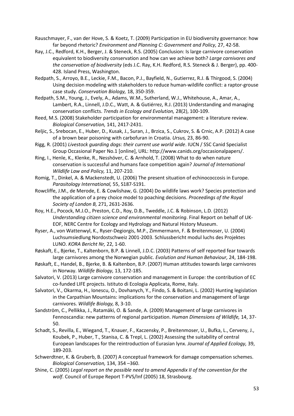- Rauschmayer, F., van der Hove, S. & Koetz, T. (2009) Participation in EU biodiversity governance: how far beyond rhetoric? *Environment and Planning C: Government and Policy,* 27, 42-58.
- Ray, J.C., Redford, K.H., Berger, J. & Steneck, R.S. (2005) Conclusion: Is large carnivore conservation equivalent to biodiversity conservation and how can we achieve both? *Large carnivores and the conservation of biodiversity* (eds J.C. Ray, K.H. Redford, R.S. Steneck & J. Berger), pp. 400- 428. Island Press, Washington.
- Redpath, S., Arroyo, B.E., Leckie, F.M., Bacon, P.J., Bayfield, N., Gutierrez, R.J. & Thirgood, S. (2004) Using decision modeling with stakeholders to reduce human-wildlife conflict: a raptor-grouse case study. *Conservation Biology,* 18, 350-359.
- Redpath, S.M., Young, J., Evely, A., Adams, W.M., Sutherland, W.J., Whitehouse, A., Amar, A., Lambert, R.A., Linnell, J.D.C., Watt, A. & Gutiérrez, R.J. (2013) Understanding and managing conservation conflicts. *Trends in Ecology and Evolution,* 28(2), 100-109.
- Reed, M.S. (2008) Stakeholder participation for environmental management: a literature review. *Biological Conservation,* 141, 2417-2431.
- Reljic, S., Srebocan, E., Huber, D., Kusak, J., Suran, J., Brzica, S., Cukrov, S. & Crnic, A.P. (2012) A case of a brown bear poisoning with carbofuran in Croatia. *Ursus,* 23, 86-90.
- Rigg, R. (2001) *Livestock guarding dogs: their current use world wide*. IUCN / SSC Canid Specialist Group Occasional Paper No.1 [online], URL: http://www.canids.org/occasionalpapers/.
- Ring, I., Henle, K., Klenke, R., Nesshöver, C. & Arnhold, T. (2008) What to do when nature conservation is successful and humans face competition again? *Journal of International Wildlife Law and Policy,* 11, 207-210.
- Romig, T., Dinkel, A. & Mackenstedt, U. (2006) The present situation of echinococcosis in Europe. *Parasitology International,* 55, S187-S191.
- Rowcliffe, J.M., de Merode, E. & Cowlishaw, G. (2004) Do wildlife laws work? Species protection and the application of a prey choice model to poaching decisions. *Proceedings of the Royal Society of London B,* 271, 2631-2636.
- Roy, H.E., Pocock, M.J.O., Preston, C.D., Roy, D.B., Tweddle, J.C. & Robinson, L.D. (2012) *Understanding citizen science and environmental monitoring*. Final Report on behalf of UK-EOF, NERC Centre for Ecology and Hydrology and Natural History Museum.
- Ryser, A., von Wattenwyl, K., Ryser-Degiorgis, M.P., Zimmermann, F. & Breitenmoser, U. (2004) Luchsumsiedlung Nordostschweiz 2001-2003. Schlussbericht modul luchs des Projektes LUNO. *KORA Bericht Nr,* 22, 1-60.
- Røskaft, E., Bjerke, T., Kaltenborn, B.P. & Linnell, J.D.C. (2003) Patterns of self reported fear towards large carnivores among the Norwegian public. *Evolution and Human Behaviour,* 24, 184-198.
- Røskaft, E., Handel, B., Bjerke, B. & Kaltenbon, B.P. (2007) Human attitudes towards large carnivores in Norway. *Wildlife Biology,* 13, 172-185.
- Salvatori, V. (2013) Large carnivore conservation and management in Europe: the contribution of EC co-funded LIFE projects. Istituto di Ecologia Applicata, Rome, Italy.
- Salvatori, V., Okarma, H., Ionescu, O., Dovhanych, Y., Findo, S. & Boitani, L. (2002) Hunting legislation in the Carpathian Mountains: implications for the conservation and management of large carnivores. *Wildlife Biology,* 8, 3-10.
- Sandström, C., Pellikka, J., Ratamäki, O. & Sande, A. (2009) Management of large carnivores in Fennoscandia: new patterns of regional participation. *Human Dimensions of Wildlife,* 14, 37- 50.
- Schadt, S., Revilla, E., Wiegand, T., Knauer, F., Kaczensky, P., Breitenmoser, U., Bufka, L., Cerveny, J., Koubek, P., Huber, T., Stanisa, C. & Trepl, L. (2002) Assessing the suitability of central European landscapes for the reintroduction of Eurasian lynx. *Journal of Applied Ecology,* 39, 189-203.
- Schwerdtner, K. & Gruberb, B. (2007) A conceptual framework for damage compensation schemes. *Biological Conservation,* 134, 354 –360.
- Shine, C. (2005) *Legal report on the possible need to amend Appendix II of the convention for the wolf*. Council of Europe Report T-PVS/Inf (2005) 18, Strasbourg.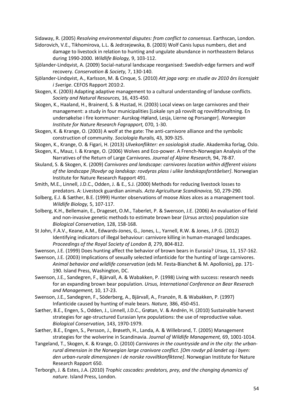Sidaway, R. (2005) *Resolving environmental disputes: from conflict to consensus*. Earthscan, London.

- Sidorovich, V.E., Tikhomirova, L.L. & Jedrzejewska, B. (2003) Wolf Canis lupus numbers, diet and damage to livestock in relation to hunting and ungulate abundance in northeastern Belarus during 1990-2000. *Wildlife Biology,* 9, 103-112.
- Sjölander-Lindqvist, A. (2009) Social-natural landscape reorganised: Swedish-edge farmers and wolf recovery. *Conservation & Society,* 7, 130-140.
- Sjölander-Lindqvist, A., Karlsson, M. & Cinque, S. (2010) *Att jaga varg: en studie av 2010 års licensjakt i Sverige*. CEFOS Rapport 2010:2.
- Skogen, K. (2003) Adapting adaptive management to a cultural understanding of landuse conflicts. *Society and Natural Resources,* 16, 435-450.
- Skogen, K., Haaland, H., Brainerd, S. & Hustad, H. (2003) Local views on large carnivores and their management: a study in four municipalities [Lokale syn på rovvilt og rovviltforvaltning. En undersøkelse i fire kommuner: Aurskog-Høland, Lesja, Lierne og Porsanger]. *Norwegian Institute for Nature Research Fagrapport,* 070, 1-30.
- Skogen, K. & Krange, O. (2003) A wolf at the gate: The anti-carnivore alliance and the symbolic construction of community. *Sociologia Ruralis,* 43, 309-325.
- Skogen, K., Krange, O. & Figari, H. (2013) *Ulvekonflikter: en sosiologisk studie*. Akademika forlag, Oslo.
- Skogen, K., Mauz, I. & Krange, O. (2006) Wolves and Eco-power. A French-Norwegian Analysis of the Narratives of the Return of Large Carnivores. *Journal of Alpine Research,* 94, 78-87.
- Skuland, S. & Skogen, K. (2009) *Carnivores and landscape: carnivores location within different visions of the landscape [Rovdyr og landskap: rovdyras plass i ulike landskapsforståelser]*. Norwegian Institute for Nature Research Rapport 491.
- Smith, M.E., Linnell, J.D.C., Odden, J. & E., S.J. (2000) Methods for reducing livestock losses to predators. A: Livestock guardian animals. *Acta Agriculturæ Scandinavica,* 50, 279-290.
- Solberg, E.J. & Sæther, B.E. (1999) Hunter observations of moose Alces alces as a management tool. *Wildlife Biology,* 5, 107-117.
- Solberg, K.H., Bellemain, E., Drageset, O.M., Taberlet, P. & Swenson, J.E. (2006) An evaluation of field and non-invasive genetic methods to estimate brown bear (Ursus arctos) population size *Biological Conservation,* 128, 158-168.
- St John, F.A.V., Keane, A.M., Edwards-Jones, G., Jones, L., Yarnell, R.W. & Jones, J.P.G. (2012) Identifying indicators of illegal behaviour: carnivore killing in human-managed landscapes. *Proceedings of the Royal Society of London B,* 279, 804-812.
- Swenson, J.E. (1999) Does hunting affect the behavior of brown bears in Eurasia? *Ursus,* 11, 157-162.
- Swenson, J.E. (2003) Implications of sexually selected infanticide for the hunting of large carnivores. *Animal behavior and wildlife conservation* (eds M. Festa-Bianchet & M. Apollonio), pp. 171- 190. Island Press, Washington, DC.
- Swenson, J.E., Sandegren, F., Bjärvall, A. & Wabakken, P. (1998) Living with success: research needs for an expanding brown bear population. *Ursus, International Conference on Bear Reserach and Management,* 10, 17-23.
- Swenson, J.E., Sandegren, F., Söderberg, A., Bjärvall, A., Franzén, R. & Wabakken, P. (1997) Infanticide caused by hunting of male bears. *Nature,* 386, 450-451.
- Sæther, B.E., Engen, S., Odden, J., Linnell, J.D.C., Grøtan, V. & Andrén, H. (2010) Sustainable harvest strategies for age-structured Eurasian lynx populations: the use of reproductive value. *Biological Conservation,* 143, 1970-1979.
- Sæther, B.E., Engen, S., Persson, J., Brøseth, H., Landa, A. & Willebrand, T. (2005) Management strategies for the wolverine in Scandinavia. *Journal of Wildlife Management,* 69, 1001-1014.
- Tangeland, T., Skogen, K. & Krange, O. (2010) *Carnivores in the countryside and in the city: the urbanrural dimension in the Norwegian large cranivore conflict. [Om rovdyr på landet og i byen: den urban-rurale dimensjonen i de norske rovviltkonflktene]*. Norwegian Institute for Nature Research Rapport 650.
- Terborgh, J. & Estes, J.A. (2010) *Trophic cascades: predators, prey, and the changing dynamics of nature*. Island Press, London.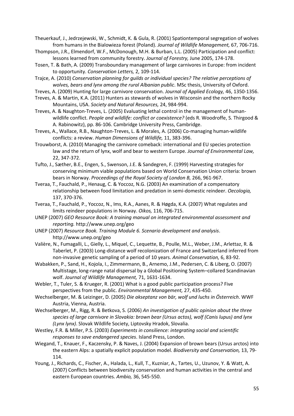Theuerkauf, J., Jedrzejewski, W., Schmidt, K. & Gula, R. (2001) Spationtemporal segregation of wolves from humans in the Bialowieza forest (Poland). *Journal of Wildlife Management,* 67, 706-716.

Thompson, J.R., Elmendorf, W.F., McDonough, M.H. & Burban, L.L. (2005) Participation and conflict: lessons learned from community forestry. *Journal of Forestry,* June 2005, 174-178.

Tosen, T. & Bath, A. (2009) Transboundary management of large carnivores in Europe: from incident to opportunity. *Conservation Letters,* 2, 109-114.

Trajce, A. (2010) *Conservation planning for guilds or individual species? The relative perceptions of wolves, bears and lynx among the rural Albanian public*. MSc thesis, University of Oxford.

- Treves, A. (2009) Hunting for large carnivore conservation. *Journal of Applied Ecology,* 46, 1350-1356.
- Treves, A. & Martin, K.A. (2011) Hunters as stewards of wolves in Wisconsin and the northern Rocky Mountains, USA. *Society and Natural Resources,* 24, 984-994.
- Treves, A. & Naughton-Treves, L. (2005) Evaluating lethal control in the management of humanwildlife conflict. *People and wildlife: conflict or coexistence?* (eds R. Woodroffe, S. Thirgood & A. Rabinowitz), pp. 86-106. Cambridge University Press, Cambridge.
- Treves, A., Wallace, R.B., Naughton-Treves, L. & Morales, A. (2006) Co-managing human-wildlife conflicts: a review. *Human Dimensions of Wildlife,* 11, 383-396.
- Trouwborst, A. (2010) Managing the carnivore comeback: international and EU species protection law and the return of lynx, wolf and bear to western Europe. *Journal of Environmental Law,* 22, 347-372.
- Tufto, J., Sæther, B.E., Engen, S., Swenson, J.E. & Sandegren, F. (1999) Harvesting strategies for conserving minimum viable populations based on World Conservation Union criteria: brown bears in Norway. *Proceedings of the Royal Society of London B,* 266, 961-967.
- Tveraa, T., Fauchald, P., Henaug, C. & Yoccoz, N.G. (2003) An examination of a compensatory relationship between food limitation and predation in semi-domestic reindeer. *Oecologia,* 137, 370-376.
- Tveraa, T., Fauchald, P., Yoccoz, N., Ims, R.A., Aanes, R. & Høgda, K.A. (2007) What regulates and limits reindeer populations in Norway. *Oikos,* 116, 706-715.
- UNEP (2007) *GEO Resource Book: A training manual on integrated environmental assessment and reporting.* http://www.unep.org/geo
- UNEP (2007) *Resource Book. Training Module 6. Scenario development and analysis*. http://www.unep.org/geo
- Valière, N., Fumagalli, L., Gielly, L., Miquel, C., Lequette, B., Poulle, M.L., Weber, J.M., Arlettaz, R. & Taberlet, P. (2003) Long-distance wolf recolonization of France and Switzerland inferred from non-invasive genetic sampling of a period of 10 years. *Animal Conservation,* 6, 83-92.
- Wabakken, P., Sand, H., Kojola, I., Zimmermann, B., Arnemo, J.M., Pedersen, C. & Liberg, O. (2007) Multistage, long-range natal dispersal by a Global Positioning System–collared Scandinavian wolf. *Journal of Wildlife Management,* 71, 1631-1634.
- Webler, T., Tuler, S. & Krueger, R. (2001) What is a good public participation process? Five perspectives from the public. *Environmental Management,* 27, 435-450.
- Wechselberger, M. & Leizinger, D. (2005) *Die akseptanz von bär, wolf und luchs in Österreich*. WWF Austria, Vienna, Austria.
- Wechselberger, M., Rigg, R. & Betkova, S. (2006) *An investigation of public opinion about the three species of large carnivore in Slovakia: brown bear (Ursus actos), wolf (Canis lupus) and lynx (Lynx lynx)*. Slovak Wildlife Society, Liptovsky Hradok, Slovalia.
- Westley, F.R. & Miller, P.S. (2003) *Experiments in consilience: integrating social and scientific responses to save endangered species*. Island Press, London.
- Wiegand, T., Knauer, F., Kaczensky, P. & Naves, J. (2004) Expansion of brown bears (Ursus arctos) into the eastern Alps: a spatially explicit population model. *Biodiversity and Conservation,* 13, 79- 114.
- Young, J., Richards, C., Fischer, A., Halada, L., Kull, T., Kuzniar, A., Tartes, U., Uzunov, Y. & Watt, A. (2007) Conflicts between biodiversity conservation and human activities in the central and eastern European countries. *Ambio,* 36, 545-550.